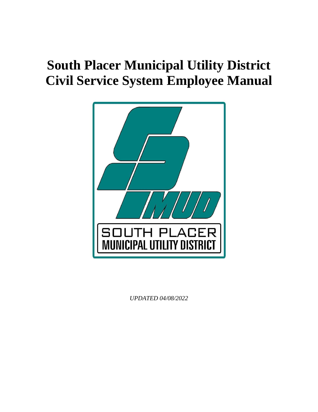# **South Placer Municipal Utility District Civil Service System Employee Manual**



*UPDATED 04/08/2022*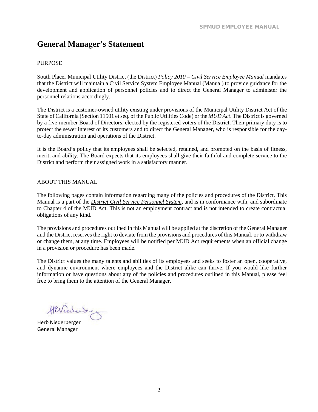## <span id="page-1-0"></span>**General Manager's Statement**

#### <span id="page-1-1"></span>PURPOSE

South Placer Municipal Utility District (the District) *Policy 2010 – Civil Service Employee Manual* mandates that the District will maintain a Civil Service System Employee Manual (Manual) to provide guidance for the development and application of personnel policies and to direct the General Manager to administer the personnel relations accordingly.

The District is a customer-owned utility existing under provisions of the Municipal Utility District Act of the State of California (Section 11501 etseq. of the Public Utilities Code) or the *MUD Act*. The District is governed by a five-member Board of Directors, elected by the registered voters of the District. Their primary duty is to protect the sewer interest of its customers and to direct the General Manager, who is responsible for the dayto-day administration and operations of the District.

It is the Board's policy that its employees shall be selected, retained, and promoted on the basis of fitness, merit, and ability. The Board expects that its employees shall give their faithful and complete service to the District and perform their assigned work in a satisfactory manner.

#### <span id="page-1-2"></span>ABOUT THIS MANUAL

The following pages contain information regarding many of the policies and procedures of the District. This Manual is a part of the *District Civil Service Personnel System*, and is in conformance with, and subordinate to Chapter 4 of the MUD Act. This is not an employment contract and is not intended to create contractual obligations of any kind.

The provisions and procedures outlined in this Manual will be applied at the discretion of the General Manager and the District reserves the right to deviate from the provisions and procedures of this Manual, or to withdraw or change them, at any time. Employees will be notified per MUD Act requirements when an official change in a provision or procedure has been made.

The District values the many talents and abilities of its employees and seeks to foster an open, cooperative, and dynamic environment where employees and the District alike can thrive. If you would like further information or have questions about any of the policies and procedures outlined in this Manual, please feel free to bring them to the attention of the General Manager.

Herrichand

Herb Niederberger General Manager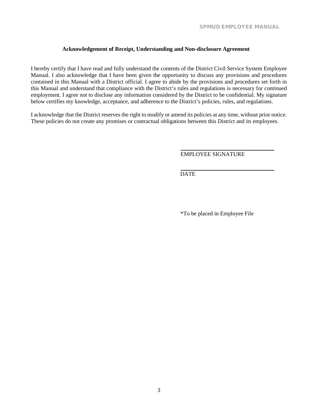#### **Acknowledgement of Receipt, Understanding and Non-disclosure Agreement**

<span id="page-2-0"></span>I hereby certify that I have read and fully understand the contents of the District Civil Service System Employee Manual. I also acknowledge that I have been given the opportunity to discuss any provisions and procedures contained in this Manual with a District official. I agree to abide by the provisions and procedures set forth in this Manual and understand that compliance with the District's rules and regulations is necessary for continued employment. I agree not to disclose any information considered by the District to be confidential. My signature below certifies my knowledge, acceptance, and adherence to the District's policies, rules, and regulations.

I acknowledge that the District reserves the right to modify or amend its policies at any time, without prior notice. These policies do not create any promises or contractual obligations between this District and its employees.

EMPLOYEE SIGNATURE

DATE

\*To be placed in Employee File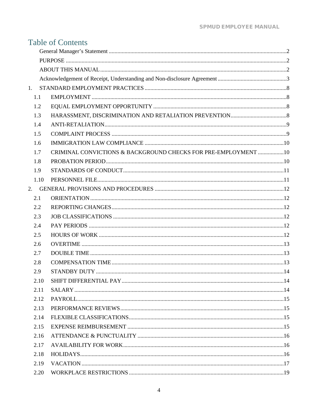|      | <b>Table of Contents</b>                                        |  |
|------|-----------------------------------------------------------------|--|
|      |                                                                 |  |
|      |                                                                 |  |
|      |                                                                 |  |
|      |                                                                 |  |
| 1.   |                                                                 |  |
| 1.1  |                                                                 |  |
| 1.2  |                                                                 |  |
| 1.3  |                                                                 |  |
| 1.4  |                                                                 |  |
| 1.5  |                                                                 |  |
| 1.6  |                                                                 |  |
| 1.7  | CRIMINAL CONVICTIONS & BACKGROUND CHECKS FOR PRE-EMPLOYMENT  10 |  |
| 1.8  |                                                                 |  |
| 1.9  |                                                                 |  |
| 1.10 |                                                                 |  |
| 2.   |                                                                 |  |
| 2.1  |                                                                 |  |
| 2.2  |                                                                 |  |
| 2.3  |                                                                 |  |
| 2.4  |                                                                 |  |
| 2.5  |                                                                 |  |
| 2.6  |                                                                 |  |
| 2.7  |                                                                 |  |
| 2.8  |                                                                 |  |
| 2.9  |                                                                 |  |
| 2.10 |                                                                 |  |
| 2.11 |                                                                 |  |
| 2.12 |                                                                 |  |
| 2.13 |                                                                 |  |
| 2.14 |                                                                 |  |
| 2.15 |                                                                 |  |
| 2.16 |                                                                 |  |
| 2.17 |                                                                 |  |
| 2.18 |                                                                 |  |
| 2.19 |                                                                 |  |
| 2.20 |                                                                 |  |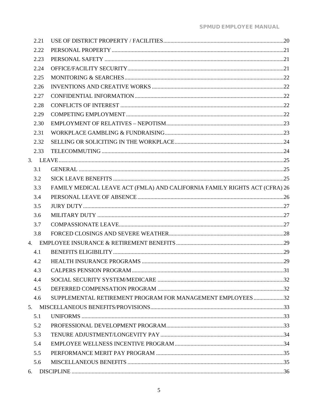| 2.21 |                                                                            |  |
|------|----------------------------------------------------------------------------|--|
| 2.22 |                                                                            |  |
| 2.23 |                                                                            |  |
| 2.24 |                                                                            |  |
| 2.25 |                                                                            |  |
| 2.26 |                                                                            |  |
| 2.27 |                                                                            |  |
| 2.28 |                                                                            |  |
| 2.29 |                                                                            |  |
| 2.30 |                                                                            |  |
| 2.31 |                                                                            |  |
| 2.32 |                                                                            |  |
| 2.33 |                                                                            |  |
|      |                                                                            |  |
| 3.1  |                                                                            |  |
| 3.2  |                                                                            |  |
| 3.3  | FAMILY MEDICAL LEAVE ACT (FMLA) AND CALIFORNIA FAMILY RIGHTS ACT (CFRA) 26 |  |
| 3.4  |                                                                            |  |
| 3.5  |                                                                            |  |
| 3.6  |                                                                            |  |
| 3.7  |                                                                            |  |
| 3.8  |                                                                            |  |
|      |                                                                            |  |
| 4.1  |                                                                            |  |
| 4.2  |                                                                            |  |
| 4.3  |                                                                            |  |
| 4.4  |                                                                            |  |
| 4.5  |                                                                            |  |
| 4.6  | SUPPLEMENTAL RETIREMENT PROGRAM FOR MANAGEMENT EMPLOYEES32                 |  |
|      |                                                                            |  |
| 5.1  |                                                                            |  |
| 5.2  |                                                                            |  |
| 5.3  |                                                                            |  |
| 5.4  |                                                                            |  |
| 5.5  |                                                                            |  |
| 5.6  |                                                                            |  |
|      |                                                                            |  |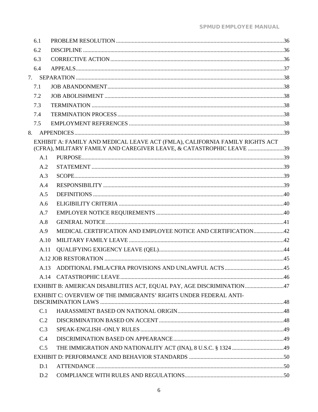| 6.1  |                                                                                                                                                      |  |  |  |
|------|------------------------------------------------------------------------------------------------------------------------------------------------------|--|--|--|
| 6.2  |                                                                                                                                                      |  |  |  |
| 6.3  |                                                                                                                                                      |  |  |  |
| 6.4  |                                                                                                                                                      |  |  |  |
|      |                                                                                                                                                      |  |  |  |
| 7.1  |                                                                                                                                                      |  |  |  |
| 7.2  |                                                                                                                                                      |  |  |  |
| 7.3  |                                                                                                                                                      |  |  |  |
| 7.4  |                                                                                                                                                      |  |  |  |
| 7.5  |                                                                                                                                                      |  |  |  |
|      |                                                                                                                                                      |  |  |  |
|      | EXHIBIT A: FAMILY AND MEDICAL LEAVE ACT (FMLA), CALIFORNIA FAMILY RIGHTS ACT<br>(CFRA), MILITARY FAMILY AND CAREGIVER LEAVE, & CATASTROPHIC LEAVE 39 |  |  |  |
| A.1  |                                                                                                                                                      |  |  |  |
| A.2  |                                                                                                                                                      |  |  |  |
| A.3  |                                                                                                                                                      |  |  |  |
| A.4  |                                                                                                                                                      |  |  |  |
| A.5  |                                                                                                                                                      |  |  |  |
| A.6  |                                                                                                                                                      |  |  |  |
| A.7  |                                                                                                                                                      |  |  |  |
| A.8  |                                                                                                                                                      |  |  |  |
| A.9  | MEDICAL CERTIFICATION AND EMPLOYEE NOTICE AND CERTIFICATION42                                                                                        |  |  |  |
| A.10 |                                                                                                                                                      |  |  |  |
| A.11 |                                                                                                                                                      |  |  |  |
|      |                                                                                                                                                      |  |  |  |
|      |                                                                                                                                                      |  |  |  |
|      |                                                                                                                                                      |  |  |  |
|      | EXHIBIT B: AMERICAN DISABILITIES ACT, EQUAL PAY, AGE DISCRIMINATION47                                                                                |  |  |  |
|      | EXHIBIT C: OVERVIEW OF THE IMMIGRANTS' RIGHTS UNDER FEDERAL ANTI-                                                                                    |  |  |  |
| C.1  |                                                                                                                                                      |  |  |  |
| C.2  |                                                                                                                                                      |  |  |  |
| C.3  |                                                                                                                                                      |  |  |  |
| C.4  |                                                                                                                                                      |  |  |  |
| C.5  |                                                                                                                                                      |  |  |  |
|      |                                                                                                                                                      |  |  |  |
| D.1  |                                                                                                                                                      |  |  |  |
| D.2  |                                                                                                                                                      |  |  |  |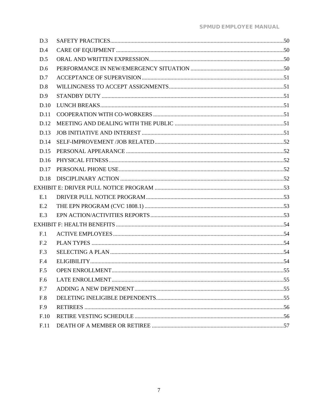| D.3             |  |
|-----------------|--|
| D.4             |  |
| D.5             |  |
| D.6             |  |
| D.7             |  |
| D.8             |  |
| D.9             |  |
| D.10            |  |
| D.11            |  |
| D.12            |  |
| D.13            |  |
| D.14            |  |
| D.15            |  |
| D.16            |  |
| D.17            |  |
| D.18            |  |
|                 |  |
| E.1             |  |
| E.2             |  |
| E.3             |  |
|                 |  |
| F.1             |  |
| F <sub>12</sub> |  |
| F.3             |  |
| F.4             |  |
| F.5             |  |
| F.6             |  |
| F.7             |  |
| F.8             |  |
| F.9             |  |
| F.10            |  |
| F.11            |  |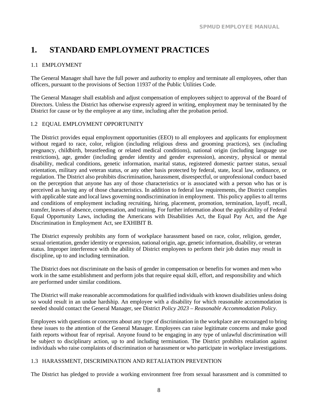# <span id="page-8-0"></span>**1. STANDARD EMPLOYMENT PRACTICES**

#### <span id="page-8-1"></span>1.1 EMPLOYMENT

The General Manager shall have the full power and authority to employ and terminate all employees, other than officers, pursuant to the provisions of Section 11937 of the Public Utilities Code.

The General Manager shall establish and adjust compensation of employees subject to approval of the Board of Directors. Unless the District has otherwise expressly agreed in writing, employment may be terminated by the District for cause or by the employee at any time, including after the probation period.

#### <span id="page-8-2"></span>1.2 EQUAL EMPLOYMENT OPPORTUNITY

The District provides equal employment opportunities (EEO) to all employees and applicants for employment without regard to race, color, religion (including religious dress and grooming practices), sex (including pregnancy, childbirth, breastfeeding or related medical conditions), national origin (including language use restrictions), age, gender (including gender identity and gender expression), ancestry, physical or mental disability, medical conditions, genetic information, marital status, registered domestic partner status, sexual orientation, military and veteran status, or any other basis protected by federal, state, local law, ordinance, or regulation. The District also prohibits discrimination, harassment, disrespectful, or unprofessional conduct based on the perception that anyone has any of those characteristics or is associated with a person who has or is perceived as having any of those characteristics. In addition to federal law requirements, the District complies with applicable state and local laws governing nondiscrimination in employment. This policy applies to all terms and conditions of employment including recruiting, hiring, placement, promotion, termination, layoff, recall, transfer, leaves of absence, compensation, and training. For further information about the applicability of Federal Equal Opportunity Laws, including the Americans with Disabilities Act, the Equal Pay Act, and the Age Discrimination in Employment Act, see EXHIBIT B.

The District expressly prohibits any form of workplace harassment based on race, color, religion, gender, sexual orientation, gender identity or expression, national origin, age, genetic information, disability, or veteran status. Improper interference with the ability of District employees to perform their job duties may result in discipline, up to and including termination.

The District does not discriminate on the basis of gender in compensation or benefits for women and men who work in the same establishment and perform jobs that require equal skill, effort, and responsibility and which are performed under similar conditions.

The District will make reasonable accommodations for qualified individuals with known disabilities unless doing so would result in an undue hardship. An employee with a disability for which reasonable accommodation is needed should contact the General Manager, see District *Policy 2023 – Reasonable Accommodation Policy*.

Employees with questions or concerns about any type of discrimination in the workplace are encouraged to bring these issues to the attention of the General Manager. Employees can raise legitimate concerns and make good faith reports without fear of reprisal. Anyone found to be engaging in any type of unlawful discrimination will be subject to disciplinary action, up to and including termination. The District prohibits retaliation against individuals who raise complaints of discrimination or harassment or who participate in workplace investigations.

#### <span id="page-8-3"></span>1.3 HARASSMENT, DISCRIMINATION AND RETALIATION PREVENTION

The District has pledged to provide a working environment free from sexual harassment and is committed to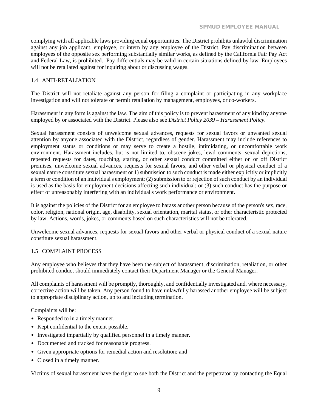complying with all applicable laws providing equal opportunities. The District prohibits unlawful discrimination against any job applicant, employee, or intern by any employee of the District. Pay discrimination between employees of the opposite sex performing substantially similar works, as defined by the California Fair Pay Act and Federal Law, is prohibited. Pay differentials may be valid in certain situations defined by law. Employees will not be retaliated against for inquiring about or discussing wages.

#### <span id="page-9-0"></span>1.4 ANTI-RETALIATION

The District will not retaliate against any person for filing a complaint or participating in any workplace investigation and will not tolerate or permit retaliation by management, employees, or co-workers.

Harassment in any form is against the law. The aim of this policy is to prevent harassment of any kind by anyone employed by or associated with the District. Please also see *District Policy 2039 – Harassment Policy*.

Sexual harassment consists of unwelcome sexual advances, requests for sexual favors or unwanted sexual attention by anyone associated with the District, regardless of gender. Harassment may include references to employment status or conditions or may serve to create a hostile, intimidating, or uncomfortable work environment. Harassment includes, but is not limited to, obscene jokes, lewd comments, sexual depictions, repeated requests for dates, touching, staring, or other sexual conduct committed either on or off District premises, unwelcome sexual advances, requests for sexual favors, and other verbal or physical conduct of a sexual nature constitute sexual harassment or 1) submission to such conduct is made either explicitly or implicitly a term or condition of an individual's employment; (2) submission to or rejection of such conduct by an individual is used as the basis for employment decisions affecting such individual; or (3) such conduct has the purpose or effect of unreasonably interfering with an individual's work performance or environment.

It is against the policies of the District for an employee to harass another person because of the person's sex, race, color, religion, national origin, age, disability, sexual orientation, marital status, or other characteristic protected by law. Actions, words, jokes, or comments based on such characteristics will not be tolerated.

Unwelcome sexual advances, requests for sexual favors and other verbal or physical conduct of a sexual nature constitute sexual harassment.

#### <span id="page-9-1"></span>1.5 COMPLAINT PROCESS

Any employee who believes that they have been the subject of harassment, discrimination, retaliation, or other prohibited conduct should immediately contact their Department Manager or the General Manager.

All complaints of harassment will be promptly, thoroughly, and confidentially investigated and, where necessary, corrective action will be taken. Any person found to have unlawfully harassed another employee will be subject to appropriate disciplinary action, up to and including termination.

Complaints will be:

- Responded to in a timely manner.
- Kept confidential to the extent possible.
- Investigated impartially by qualified personnel in a timely manner.
- Documented and tracked for reasonable progress.
- Given appropriate options for remedial action and resolution; and
- Closed in a timely manner.

Victims of sexual harassment have the right to sue both the District and the perpetrator by contacting the Equal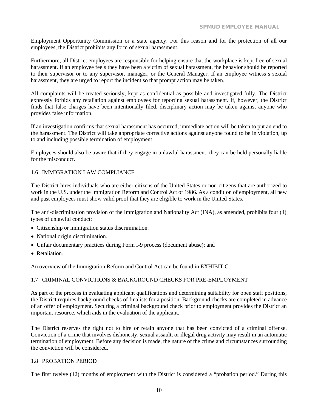Employment Opportunity Commission or a state agency. For this reason and for the protection of all our employees, the District prohibits any form of sexual harassment.

Furthermore, all District employees are responsible for helping ensure that the workplace is kept free of sexual harassment. If an employee feels they have been a victim of sexual harassment, the behavior should be reported to their supervisor or to any supervisor, manager, or the General Manager. If an employee witness's sexual harassment, they are urged to report the incident so that prompt action may be taken.

All complaints will be treated seriously, kept as confidential as possible and investigated fully. The District expressly forbids any retaliation against employees for reporting sexual harassment. If, however, the District finds that false charges have been intentionally filed, disciplinary action may be taken against anyone who provides false information.

If an investigation confirms that sexual harassment has occurred, immediate action will be taken to put an end to the harassment. The District will take appropriate corrective actions against anyone found to be in violation, up to and including possible termination of employment.

Employees should also be aware that if they engage in unlawful harassment, they can be held personally liable for the misconduct.

#### <span id="page-10-0"></span>1.6 IMMIGRATION LAW COMPLIANCE

The District hires individuals who are either citizens of the United States or non-citizens that are authorized to work in the U.S. under the Immigration Reform and Control Act of 1986. As a condition of employment, all new and past employees must show valid proof that they are eligible to work in the United States.

The anti-discrimination provision of the Immigration and Nationality Act (INA), as amended, prohibits four (4) types of unlawful conduct:

- Citizenship or immigration status discrimination.
- National origin discrimination.
- Unfair documentary practices during Form I-9 process (document abuse); and
- Retaliation.

An overview of the Immigration Reform and Control Act can be found in EXHIBIT C.

#### <span id="page-10-1"></span>1.7 CRIMINAL CONVICTIONS & BACKGROUND CHECKS FOR PRE-EMPLOYMENT

As part of the process in evaluating applicant qualifications and determining suitability for open staff positions, the District requires background checks of finalists for a position. Background checks are completed in advance of an offer of employment. Securing a criminal background check prior to employment provides the District an important resource, which aids in the evaluation of the applicant.

The District reserves the right not to hire or retain anyone that has been convicted of a criminal offense. Conviction of a crime that involves dishonesty, sexual assault, or illegal drug activity may result in an automatic termination of employment. Before any decision is made, the nature of the crime and circumstances surrounding the conviction will be considered.

#### <span id="page-10-2"></span>1.8 PROBATION PERIOD

The first twelve (12) months of employment with the District is considered a "probation period." During this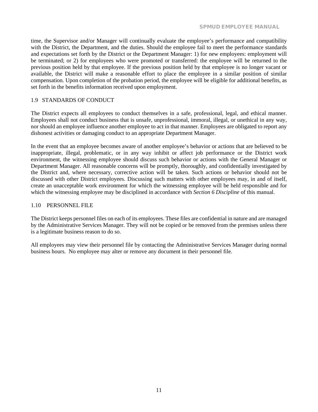time, the Supervisor and/or Manager will continually evaluate the employee's performance and compatibility with the District, the Department, and the duties. Should the employee fail to meet the performance standards and expectations set forth by the District or the Department Manager: 1) for new employees: employment will be terminated; or 2) for employees who were promoted or transferred: the employee will be returned to the previous position held by that employee. If the previous position held by that employee is no longer vacant or available, the District will make a reasonable effort to place the employee in a similar position of similar compensation. Upon completion of the probation period, the employee will be eligible for additional benefits, as set forth in the benefits information received upon employment.

#### <span id="page-11-0"></span>1.9 STANDARDS OF CONDUCT

The District expects all employees to conduct themselves in a safe, professional, legal, and ethical manner. Employees shall not conduct business that is unsafe, unprofessional, immoral, illegal, or unethical in any way, nor should an employee influence another employee to act in that manner. Employees are obligated to report any dishonest activities or damaging conduct to an appropriate Department Manager.

In the event that an employee becomes aware of another employee's behavior or actions that are believed to be inappropriate, illegal, problematic, or in any way inhibit or affect job performance or the District work environment, the witnessing employee should discuss such behavior or actions with the General Manager or Department Manager. All reasonable concerns will be promptly, thoroughly, and confidentially investigated by the District and, where necessary, corrective action will be taken. Such actions or behavior should not be discussed with other District employees. Discussing such matters with other employees may, in and of itself, create an unacceptable work environment for which the witnessing employee will be held responsible and for which the witnessing employee may be disciplined in accordance with *Section 6 Discipline* of this manual.

#### <span id="page-11-1"></span>1.10 PERSONNEL FILE

The District keeps personnel files on each of its employees. These files are confidential in nature and are managed by the Administrative Services Manager. They will not be copied or be removed from the premises unless there is a legitimate business reason to do so.

All employees may view their personnel file by contacting the Administrative Services Manager during normal business hours. No employee may alter or remove any document in their personnel file.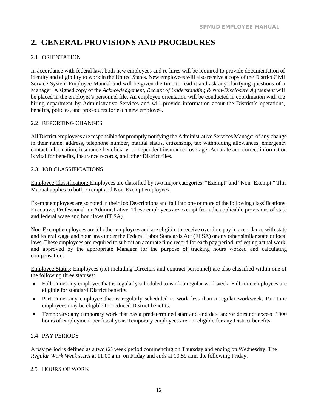# <span id="page-12-0"></span>**2. GENERAL PROVISIONS AND PROCEDURES**

### <span id="page-12-1"></span>2.1 ORIENTATION

In accordance with federal law, both new employees and re-hires will be required to provide documentation of identity and eligibility to work in the United States. New employees will also receive a copy of the District Civil Service System Employee Manual and will be given the time to read it and ask any clarifying questions of a Manager. A signed copy of the *Acknowledgement, Receipt of Understanding & Non-Disclosure Agreement* will be placed in the employee's personnel file. An employee orientation will be conducted in coordination with the hiring department by Administrative Services and will provide information about the District's operations, benefits, policies, and procedures for each new employee.

#### <span id="page-12-2"></span>2.2 REPORTING CHANGES

All District employees are responsible for promptly notifying the Administrative Services Manager of any change in their name, address, telephone number, marital status, citizenship, tax withholding allowances, emergency contact information, insurance beneficiary, or dependent insurance coverage. Accurate and correct information is vital for benefits, insurance records, and other District files.

#### <span id="page-12-3"></span>2.3 JOB CLASSIFICATIONS

Employee Classification**:** Employees are classified by two major categories: "Exempt" and "Non- Exempt." This Manual applies to both Exempt and Non-Exempt employees.

Exempt employees are so noted in their Job Descriptions and fall into one or more of the following classifications: Executive, Professional, or Administrative. These employees are exempt from the applicable provisions of state and federal wage and hour laws (FLSA).

Non-Exempt employees are all other employees and are eligible to receive overtime pay in accordance with state and federal wage and hour laws under the Federal Labor Standards Act (FLSA) or any other similar state or local laws. These employees are required to submit an accurate time record for each pay period, reflecting actual work, and approved by the appropriate Manager for the purpose of tracking hours worked and calculating compensation.

Employee Status: Employees (not including Directors and contract personnel) are also classified within one of the following three statuses:

- Full-Time: any employee that is regularly scheduled to work a regular workweek. Full-time employees are eligible for standard District benefits.
- Part-Time: any employee that is regularly scheduled to work less than a regular workweek. Part-time employees may be eligible for reduced District benefits.
- Temporary: any temporary work that has a predetermined start and end date and/or does not exceed 1000 hours of employment per fiscal year. Temporary employees are not eligible for any District benefits.

#### <span id="page-12-4"></span>2.4 PAY PERIODS

A pay period is defined as a two (2) week period commencing on Thursday and ending on Wednesday. The *Regular Work Week* starts at 11:00 a.m. on Friday and ends at 10:59 a.m. the following Friday.

#### <span id="page-12-5"></span>2.5 HOURS OF WORK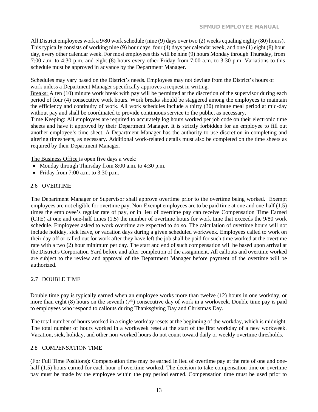All District employees work a 9/80 work schedule (nine (9) days over two (2) weeks equaling eighty (80) hours). This typically consists of working nine (9) hour days, four (4) days per calendar week, and one (1) eight (8) hour day, every other calendar week. For most employees this will be nine (9) hours Monday through Thursday, from 7:00 a.m. to 4:30 p.m. and eight (8) hours every other Friday from 7:00 a.m. to 3:30 p.m. Variations to this schedule must be approved in advance by the Department Manager.

Schedules may vary based on the District's needs. Employees may not deviate from the District's hours of work unless a Department Manager specifically approves a request in writing.

Breaks: A ten (10) minute work break with pay will be permitted at the discretion of the supervisor during each period of four (4) consecutive work hours. Work breaks should be staggered among the employees to maintain the efficiency and continuity of work. All work schedules include a thirty (30) minute meal period at mid-day without pay and shall be coordinated to provide continuous service to the public, as necessary.

Time Keeping: All employees are required to accurately log hours worked per job code on their electronic time sheets and have it approved by their Department Manager. It is strictly forbidden for an employee to fill out another employee's time sheet. A Department Manager has the authority to use discretion in completing and altering timesheets, as necessary. Additional work-related details must also be completed on the time sheets as required by their Department Manager.

The Business Office is open five days a week:

- Monday through Thursday from 8:00 a.m. to 4:30 p.m.
- Friday from  $7:00$  a.m. to  $3:30$  p.m.

#### <span id="page-13-0"></span>2.6 OVERTIME

The Department Manager or Supervisor shall approve overtime prior to the overtime being worked. Exempt employees are not eligible for overtime pay. Non-Exempt employees are to be paid time at one and one-half (1.5) times the employee's regular rate of pay, or in lieu of overtime pay can receive Compensation Time Earned (CTE) at one and one-half times (1.5) the number of overtime hours for work time that exceeds the 9/80 work schedule. Employees asked to work overtime are expected to do so. The calculation of overtime hours will not include holiday, sick leave, or vacation days during a given scheduled workweek. Employees called to work on their day off or called out for work after they have left the job shall be paid for such time worked at the overtime rate with a two (2) hour minimum per day. The start and end of such compensation will be based upon arrival at the District's Corporation Yard before and after completion of the assignment. All callouts and overtime worked are subject to the review and approval of the Department Manager before payment of the overtime will be authorized.

#### <span id="page-13-1"></span>2.7 DOUBLE TIME

Double time pay is typically earned when an employee works more than twelve (12) hours in one workday, or more than eight (8) hours on the seventh ( $7<sup>th</sup>$ ) consecutive day of work in a workweek. Double time pay is paid to employees who respond to callouts during Thanksgiving Day and Christmas Day.

The total number of hours worked in a single workday resets at the beginning of the workday, which is midnight. The total number of hours worked in a workweek reset at the start of the first workday of a new workweek. Vacation, sick, holiday, and other non-worked hours do not count toward daily or weekly overtime thresholds.

#### <span id="page-13-2"></span>2.8 COMPENSATION TIME

(For Full Time Positions): Compensation time may be earned in lieu of overtime pay at the rate of one and onehalf (1.5) hours earned for each hour of overtime worked. The decision to take compensation time or overtime pay must be made by the employee within the pay period earned. Compensation time must be used prior to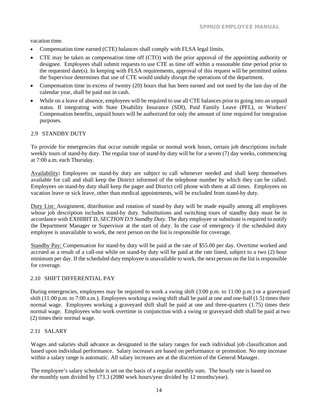vacation time.

- Compensation time earned (CTE) balances shall comply with FLSA legal limits.
- CTE may be taken as compensation time off (CTO) with the prior approval of the appointing authority or designee. Employees shall submit requests to use CTE as time off within a reasonable time period prior to the requested date(s). In keeping with FLSA requirements, approval of this request will be permitted unless the Supervisor determines that use of CTE would unduly disrupt the operations of the department.
- Compensation time in excess of twenty (20) hours that has been earned and not used by the last day of the calendar year, shall be paid out in cash.
- While on a leave of absence, employees will be required to use all CTE balances prior to going into an unpaid status. If integrating with State Disability Insurance (SDI), Paid Family Leave (PFL), or Workers' Compensation benefits, unpaid hours will be authorized for only the amount of time required for integration purposes.

#### <span id="page-14-0"></span>2.9 STANDBY DUTY

To provide for emergencies that occur outside regular or normal work hours, certain job descriptions include weekly tours of stand-by duty. The regular tour of stand-by duty will be for a seven (7) day weeks, commencing at 7:00 a.m. each Thursday.

Availability**:** Employees on stand-by duty are subject to call whenever needed and shall keep themselves available for call and shall keep the District informed of the telephone number by which they can be called. Employees on stand-by duty shall keep the pager and District cell phone with them at all times. Employees on vacation leave or sick leave, other than medical appointments, will be excluded from stand-by duty.

Duty List: Assignment, distribution and rotation of stand-by duty will be made equally among all employees whose job description includes stand-by duty. Substitutions and switching tours of standby duty must be in accordance with EXHIBIT D*, SECTION D.9 Standby Duty*. The duty employee or substitute is required to notify the Department Manager or Supervisor at the start of duty. In the case of emergency if the scheduled duty employee is unavailable to work, the next person on the list is responsible for coverage.

Standby Pay: Compensation for stand-by duty will be paid at the rate of \$55.00 per day. Overtime worked and accrued as a result of a call-out while on stand-by duty will be paid at the rate listed, subject to a two (2) hour minimum per day. If the scheduled duty employee is unavailable to work, the next person on the list is responsible for coverage.

#### <span id="page-14-1"></span>2.10 SHIFT DIFFERENTIAL PAY

During emergencies, employees may be required to work a swing shift (3:00 p.m. to 11:00 p.m.) or a graveyard shift (11:00 p.m. to 7:00 a.m.). Employees working a swing shift shall be paid at one and one-half (1.5) times their normal wage. Employees working a graveyard shift shall be paid at one and three-quarters (1.75) times their normal wage. Employees who work overtime in conjunction with a swing or graveyard shift shall be paid at two (2) times their normal wage.

#### <span id="page-14-2"></span>2.11 SALARY

Wages and salaries shall advance as designated in the salary ranges for each individual job classification and based upon individual performance. Salary increases are based on performance or promotion. No step increase within a salary range is automatic. All salary increases are at the discretion of the General Manager.

The employee's salary schedule is set on the basis of a regular monthly sum. The hourly rate is based on the monthly sum divided by 173.3 (2080 work hours/year divided by 12 months/year).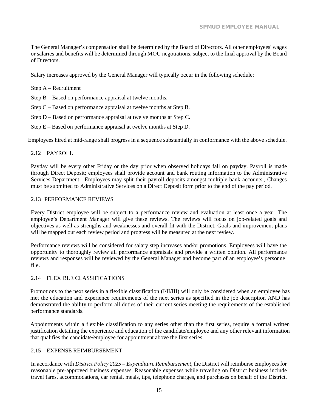The General Manager's compensation shall be determined by the Board of Directors. All other employees' wages or salaries and benefits will be determined through MOU negotiations, subject to the final approval by the Board of Directors.

Salary increases approved by the General Manager will typically occur in the following schedule:

Step A – Recruitment

Step B – Based on performance appraisal at twelve months.

Step C – Based on performance appraisal at twelve months at Step B.

Step D – Based on performance appraisal at twelve months at Step C.

Step E – Based on performance appraisal at twelve months at Step D.

Employees hired at mid-range shall progress in a sequence substantially in conformance with the above schedule.

#### <span id="page-15-0"></span>2.12 PAYROLL

Payday will be every other Friday or the day prior when observed holidays fall on payday. Payroll is made through Direct Deposit; employees shall provide account and bank routing information to the Administrative Services Department. Employees may split their payroll deposits amongst multiple bank accounts., Changes must be submitted to Administrative Services on a Direct Deposit form prior to the end of the pay period.

#### <span id="page-15-1"></span>2.13 PERFORMANCE REVIEWS

Every District employee will be subject to a performance review and evaluation at least once a year. The employee's Department Manager will give these reviews. The reviews will focus on job-related goals and objectives as well as strengths and weaknesses and overall fit with the District. Goals and improvement plans will be mapped out each review period and progress will be measured at the next review.

Performance reviews will be considered for salary step increases and/or promotions. Employees will have the opportunity to thoroughly review all performance appraisals and provide a written opinion. All performance reviews and responses will be reviewed by the General Manager and become part of an employee's personnel file.

#### <span id="page-15-2"></span>2.14 FLEXIBLE CLASSIFICATIONS

Promotions to the next series in a flexible classification (I/II/III) will only be considered when an employee has met the education and experience requirements of the next series as specified in the job description AND has demonstrated the ability to perform all duties of their current series meeting the requirements of the established performance standards.

Appointments within a flexible classification to any series other than the first series, require a formal written justification detailing the experience and education of the candidate/employee and any other relevant information that qualifies the candidate/employee for appointment above the first series.

#### <span id="page-15-3"></span>2.15 EXPENSE REIMBURSEMENT

In accordance with *District Policy 2025 – Expenditure Reimbursement*, the District will reimburse employees for reasonable pre-approved business expenses. Reasonable expenses while traveling on District business include travel fares, accommodations, car rental, meals, tips, telephone charges, and purchases on behalf of the District.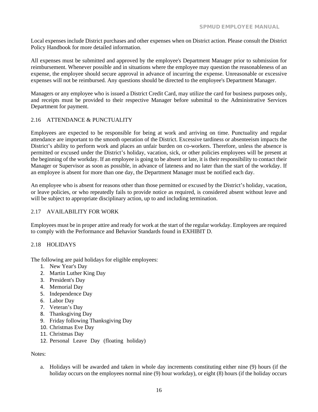Local expenses include District purchases and other expenses when on District action. Please consult the District Policy Handbook for more detailed information.

All expenses must be submitted and approved by the employee's Department Manager prior to submission for reimbursement. Whenever possible and in situations where the employee may question the reasonableness of an expense, the employee should secure approval in advance of incurring the expense. Unreasonable or excessive expenses will not be reimbursed. Any questions should be directed to the employee's Department Manager.

Managers or any employee who is issued a District Credit Card, may utilize the card for business purposes only, and receipts must be provided to their respective Manager before submittal to the Administrative Services Department for payment.

#### <span id="page-16-0"></span>2.16 ATTENDANCE & PUNCTUALITY

Employees are expected to be responsible for being at work and arriving on time. Punctuality and regular attendance are important to the smooth operation of the District. Excessive tardiness or absenteeism impacts the District's ability to perform work and places an unfair burden on co-workers. Therefore, unless the absence is permitted or excused under the District's holiday, vacation, sick, or other policies employees will be present at the beginning of the workday. If an employee is going to be absent or late, it is their responsibility to contact their Manager or Supervisor as soon as possible, in advance of lateness and no later than the start of the workday. If an employee is absent for more than one day, the Department Manager must be notified each day.

An employee who is absent for reasons other than those permitted or excused by the District's holiday, vacation, or leave policies, or who repeatedly fails to provide notice as required, is considered absent without leave and will be subject to appropriate disciplinary action, up to and including termination.

#### <span id="page-16-1"></span>2.17 AVAILABILITY FOR WORK

Employees must be in proper attire and ready for work at the start of the regular workday. Employees are required to comply with the Performance and Behavior Standards found in EXHIBIT D.

#### <span id="page-16-2"></span>2.18 HOLIDAYS

The following are paid holidays for eligible employees:

- 1. New Year's Day
- 2. Martin Luther King Day
- 3. President's Day
- 4. Memorial Day
- 5. Independence Day
- 6. Labor Day
- 7. Veteran's Day
- 8. Thanksgiving Day
- 9. Friday following Thanksgiving Day
- 10. Christmas Eve Day
- 11. Christmas Day
- 12. Personal Leave Day (floating holiday)

#### Notes:

a. Holidays will be awarded and taken in whole day increments constituting either nine (9) hours (if the holiday occurs on the employees normal nine (9) hour workday), or eight (8) hours (if the holiday occurs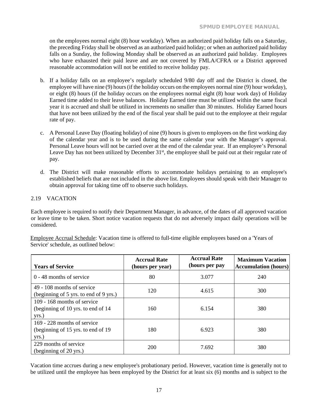on the employees normal eight (8) hour workday). When an authorized paid holiday falls on a Saturday, the preceding Friday shall be observed as an authorized paid holiday; or when an authorized paid holiday falls on a Sunday, the following Monday shall be observed as an authorized paid holiday. Employees who have exhausted their paid leave and are not covered by FMLA/CFRA or a District approved reasonable accommodation will not be entitled to receive holiday pay.

- b. If a holiday falls on an employee's regularly scheduled 9/80 day off and the District is closed, the employee will have nine (9) hours (if the holiday occurs on the employees normal nine (9) hour workday), or eight (8) hours (if the holiday occurs on the employees normal eight (8) hour work day) of Holiday Earned time added to their leave balances. Holiday Earned time must be utilized within the same fiscal year it is accrued and shall be utilized in increments no smaller than 30 minutes. Holiday Earned hours that have not been utilized by the end of the fiscal year shall be paid out to the employee at their regular rate of pay.
- c. A Personal Leave Day (floating holiday) of nine (9) hours is given to employees on the first working day of the calendar year and is to be used during the same calendar year with the Manager's approval. Personal Leave hours will not be carried over at the end of the calendar year. If an employee's Personal Leave Day has not been utilized by December 31<sup>st</sup>, the employee shall be paid out at their regular rate of pay.
- d. The District will make reasonable efforts to accommodate holidays pertaining to an employee's established beliefs that are not included in the above list. Employees should speak with their Manager to obtain approval for taking time off to observe such holidays.

#### <span id="page-17-0"></span>2.19 VACATION

Each employee is required to notify their Department Manager, in advance, of the dates of all approved vacation or leave time to be taken. Short notice vacation requests that do not adversely impact daily operations will be considered.

|                                       | Employee Accrual Schedule: Vacation time is offered to full-time eligible employees based on a 'Years of |  |
|---------------------------------------|----------------------------------------------------------------------------------------------------------|--|
| Service' schedule, as outlined below: |                                                                                                          |  |

| <b>Years of Service</b>                                                     | <b>Accrual Rate</b><br>(hours per year) | <b>Accrual Rate</b><br>(hours per pay | <b>Maximum Vacation</b><br><b>Accumulation</b> (hours) |
|-----------------------------------------------------------------------------|-----------------------------------------|---------------------------------------|--------------------------------------------------------|
| $0 - 48$ months of service                                                  | 80                                      | 3.077                                 | 240                                                    |
| 49 - 108 months of service<br>(beginning of 5 yrs. to end of 9 yrs.)        | 120                                     | 4.615                                 | 300                                                    |
| 109 - 168 months of service<br>(beginning of 10 yrs. to end of 14)<br>yrs.) | 160                                     | 6.154                                 | 380                                                    |
| 169 - 228 months of service<br>(beginning of 15 yrs. to end of 19)<br>yrs.) | 180                                     | 6.923                                 | 380                                                    |
| 229 months of service<br>(beginning of 20 yrs.)                             | 200                                     | 7.692                                 | 380                                                    |

Vacation time accrues during a new employee's probationary period. However, vacation time is generally not to be utilized until the employee has been employed by the District for at least six (6) months and is subject to the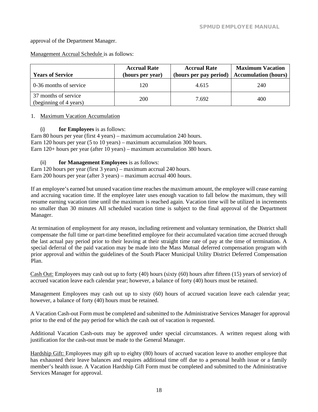approval of the Department Manager.

Management Accrual Schedule is as follows:

| <b>Years of Service</b>                        | <b>Accrual Rate</b><br>(hours per year) | <b>Accrual Rate</b><br>(hours per pay period) | <b>Maximum Vacation</b><br><b>Accumulation (hours)</b> |
|------------------------------------------------|-----------------------------------------|-----------------------------------------------|--------------------------------------------------------|
| 0-36 months of service                         | 120                                     | 4.615                                         | 240                                                    |
| 37 months of service<br>(beginning of 4 years) | 200                                     | 7.692                                         | 400                                                    |

#### 1. Maximum Vacation Accumulation

(i) **for Employees** is as follows:

Earn 80 hours per year (first 4 years) – maximum accumulation 240 hours. Earn 120 hours per year (5 to 10 years) – maximum accumulation 300 hours. Earn 120+ hours per year (after 10 years) – maximum accumulation 380 hours.

(ii) **for Management Employees** is as follows:

Earn 120 hours per year (first 3 years) – maximum accrual 240 hours. Earn 200 hours per year (after 3 years) – maximum accrual 400 hours.

If an employee's earned but unused vacation time reaches the maximum amount, the employee will cease earning and accruing vacation time. If the employee later uses enough vacation to fall below the maximum, they will resume earning vacation time until the maximum is reached again. Vacation time will be utilized in increments no smaller than 30 minutes All scheduled vacation time is subject to the final approval of the Department Manager.

At termination of employment for any reason, including retirement and voluntary termination, the District shall compensate the full time or part-time benefitted employee for their accumulated vacation time accrued through the last actual pay period prior to their leaving at their straight time rate of pay at the time of termination. A special deferral of the paid vacation may be made into the Mass Mutual deferred compensation program with prior approval and within the guidelines of the South Placer Municipal Utility District Deferred Compensation Plan.

Cash Out: Employees may cash out up to forty (40) hours (sixty (60) hours after fifteen (15) years of service) of accrued vacation leave each calendar year; however, a balance of forty (40) hours must be retained.

Management Employees may cash out up to sixty (60) hours of accrued vacation leave each calendar year; however, a balance of forty (40) hours must be retained.

A Vacation Cash-out Form must be completed and submitted to the Administrative Services Manager for approval prior to the end of the pay period for which the cash out of vacation is requested.

Additional Vacation Cash-outs may be approved under special circumstances. A written request along with justification for the cash-out must be made to the General Manager.

Hardship Gift: Employees may gift up to eighty (80) hours of accrued vacation leave to another employee that has exhausted their leave balances and requires additional time off due to a personal health issue or a family member's health issue. A Vacation Hardship Gift Form must be completed and submitted to the Administrative Services Manager for approval.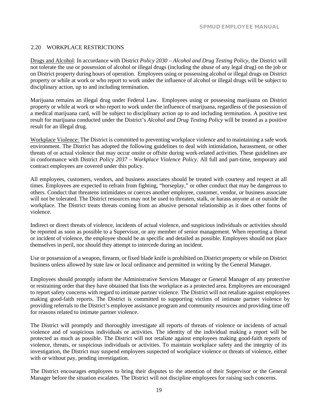#### <span id="page-19-0"></span>2.20 WORKPLACE RESTRICTIONS

Drugs and Alcohol: In accordance with District *Policy 2030 – Alcohol and Drug Testing Policy,* the District will not tolerate the use or possession of alcohol or illegal drugs (including the abuse of any legal drug) on the job or on District property during hours of operation. Employees using or possessing alcohol or illegal drugs on District property or while at work or who report to work under the influence of alcohol or illegal drugs will be subject to disciplinary action, up to and including termination.

Marijuana remains an illegal drug under Federal Law. Employees using or possessing marijuana on District property or while at work or who report to work under the influence of marijuana, regardless of the possession of a medical marijuana card, will be subject to disciplinary action up to and including termination. A positive test result for marijuana conducted under the District's *Alcohol and Drug Testing Policy* will be treated as a positive result for an illegal drug.

Workplace Violence: The District is committed to preventing workplace violence and to maintaining a safe work environment. The District has adopted the following guidelines to deal with intimidation, harassment, or other threats of or actual violence that may occur onsite or offsite during work-related activities. These guidelines are in conformance with District *Policy 2037 – Workplace Violence Policy*. All full and part-time, temporary and contract employees are covered under this policy.

All employees, customers, vendors, and business associates should be treated with courtesy and respect at all times. Employees are expected to refrain from fighting, "horseplay," or other conduct that may be dangerous to others. Conduct that threatens intimidates or coerces another employee, customer, vendor, or business associate will not be tolerated. The District resources may not be used to threaten, stalk, or harass anyone at or outside the workplace. The District treats threats coming from an abusive personal relationship as it does other forms of violence.

Indirect or direct threats of violence, incidents of actual violence, and suspicious individuals or activities should be reported as soon as possible to a Supervisor, or any member of senior management. When reporting a threat or incident of violence, the employee should be as specific and detailed as possible. Employees should not place themselves in peril, nor should they attempt to intercede during an incident.

Use or possession of a weapon, firearm, or fixed blade knife is prohibited on District property or while on District business unless allowed by state law or local ordinance and permitted in writing by the General Manager.

Employees should promptly inform the Administrative Services Manager or General Manager of any protective or restraining order that they have obtained that lists the workplace as a protected area. Employees are encouraged to report safety concerns with regard to intimate partner violence. The District will not retaliate against employees making good-faith reports. The District is committed to supporting victims of intimate partner violence by providing referrals to the District's employee assistance program and community resources and providing time off for reasons related to intimate partner violence.

The District will promptly and thoroughly investigate all reports of threats of violence or incidents of actual violence and of suspicious individuals or activities. The identity of the individual making a report will be protected as much as possible. The District will not retaliate against employees making good-faith reports of violence, threats, or suspicious individuals or activities. To maintain workplace safety and the integrity of its investigation, the District may suspend employees suspected of workplace violence or threats of violence, either with or without pay, pending investigation.

The District encourages employees to bring their disputes to the attention of their Supervisor or the General Manager before the situation escalates. The District will not discipline employees for raising such concerns.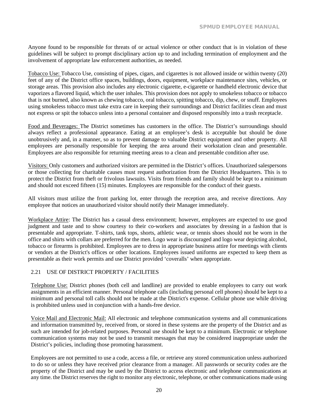Anyone found to be responsible for threats of or actual violence or other conduct that is in violation of these guidelines will be subject to prompt disciplinary action up to and including termination of employment and the involvement of appropriate law enforcement authorities, as needed.

Tobacco Use: Tobacco Use, consisting of pipes, cigars, and cigarettes is not allowed inside or within twenty (20) feet of any of the District office spaces, buildings, doors, equipment, workplace maintenance sites, vehicles, or storage areas. This provision also includes any electronic cigarette, e-cigarette or handheld electronic device that vaporizes a flavored liquid, which the user inhales. This provision does not apply to smokeless tobacco or tobacco that is not burned, also known as chewing tobacco, oral tobacco, spitting tobacco, dip, chew, or snuff. Employees using smokeless tobacco must take extra care in keeping their surroundings and District facilities clean and must not express or spit the tobacco unless into a personal container and disposed responsibly into a trash receptacle.

Food and Beverages: The District sometimes has customers in the office. The District's surroundings should always reflect a professional appearance. Eating at an employee's desk is acceptable but should be done unobtrusively and, in a manner, so as to prevent damage to valuable District equipment and other property. All employees are personally responsible for keeping the area around their workstation clean and presentable. Employees are also responsible for returning meeting areas to a clean and presentable condition after use.

Visitors: Only customers and authorized visitors are permitted in the District's offices. Unauthorized salespersons or those collecting for charitable causes must request authorization from the District Headquarters. This is to protect the District from theft or frivolous lawsuits. Visits from friends and family should be kept to a minimum and should not exceed fifteen (15) minutes. Employees are responsible for the conduct of their guests.

All visitors must utilize the front parking lot, enter through the reception area, and receive directions. Any employee that notices an unauthorized visitor should notify their Manager immediately.

Workplace Attire: The District has a casual dress environment; however, employees are expected to use good judgment and taste and to show courtesy to their co-workers and associates by dressing in a fashion that is presentable and appropriate. T-shirts, tank tops, shorts, athletic wear, or tennis shoes should not be worn in the office and shirts with collars are preferred for the men. Logo wear is discouraged and logo wear depicting alcohol, tobacco or firearms is prohibited. Employees are to dress in appropriate business attire for meetings with clients or vendors at the District's offices or other locations. Employees issued uniforms are expected to keep them as presentable as their work permits and use District provided 'coveralls' when appropriate.

#### <span id="page-20-0"></span>2.21 USE OF DISTRICT PROPERTY / FACILITIES

Telephone Use: District phones (both cell and landline) are provided to enable employees to carry out work assignments in an efficient manner. Personal telephone calls (including personal cell phones) should be kept to a minimum and personal toll calls should not be made at the District's expense. Cellular phone use while driving is prohibited unless used in conjunction with a hands-free device.

Voice Mail and Electronic Mail: All electronic and telephone communication systems and all communications and information transmitted by, received from, or stored in these systems are the property of the District and as such are intended for job-related purposes. Personal use should be kept to a minimum. Electronic or telephone communication systems may not be used to transmit messages that may be considered inappropriate under the District's policies, including those promoting harassment.

Employees are not permitted to use a code, access a file, or retrieve any stored communication unless authorized to do so or unless they have received prior clearance from a manager. All passwords or security codes are the property of the District and may be used by the District to access electronic and telephone communications at any time. the District reserves the right to monitor any electronic, telephone, or other communications made using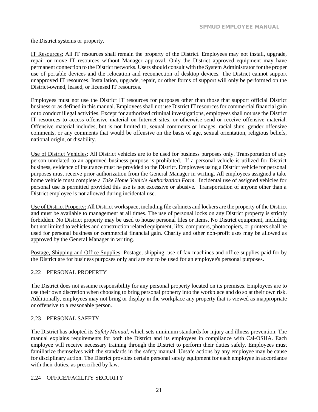the District systems or property.

IT Resources: All IT resources shall remain the property of the District. Employees may not install, upgrade, repair or move IT resources without Manager approval. Only the District approved equipment may have permanent connection to the District networks. Users should consult with the System Administrator for the proper use of portable devices and the relocation and reconnection of desktop devices. The District cannot support unapproved IT resources. Installation, upgrade, repair, or other forms of support will only be performed on the District-owned, leased, or licensed IT resources.

Employees must not use the District IT resources for purposes other than those that support official District business or as defined in this manual. Employees shall not use District IT resources for commercial financial gain or to conduct illegal activities. Except for authorized criminal investigations, employees shall not use the District IT resources to access offensive material on Internet sites, or otherwise send or receive offensive material. Offensive material includes, but is not limited to, sexual comments or images, racial slurs, gender offensive comments, or any comments that would be offensive on the basis of age, sexual orientation, religious beliefs, national origin, or disability.

Use of District Vehicles: All District vehicles are to be used for business purposes only. Transportation of any person unrelated to an approved business purpose is prohibited. If a personal vehicle is utilized for District business, evidence of insurance must be provided to the District. Employees using a District vehicle for personal purposes must receive prior authorization from the General Manager in writing. All employees assigned a take home vehicle must complete a *Take Home Vehicle Authorization Form*. Incidental use of assigned vehicles for personal use is permitted provided this use is not excessive or abusive. Transportation of anyone other than a District employee is not allowed during incidental use.

Use of District Property: All District workspace, including file cabinets and lockers are the property of the District and must be available to management at all times. The use of personal locks on any District property is strictly forbidden. No District property may be used to house personal files or items. No District equipment, including but not limited to vehicles and construction related equipment, lifts, computers, photocopiers, or printers shall be used for personal business or commercial financial gain. Charity and other non-profit uses may be allowed as approved by the General Manager in writing.

Postage, Shipping and Office Supplies: Postage, shipping, use of fax machines and office supplies paid for by the District are for business purposes only and are not to be used for an employee's personal purposes.

#### <span id="page-21-0"></span>2.22 PERSONAL PROPERTY

The District does not assume responsibility for any personal property located on its premises. Employees are to use their own discretion when choosing to bring personal property into the workplace and do so at their own risk. Additionally, employees may not bring or display in the workplace any property that is viewed as inappropriate or offensive to a reasonable person.

#### <span id="page-21-1"></span>2.23 PERSONAL SAFETY

The District has adopted its *Safety Manual*, which sets minimum standards for injury and illness prevention. The manual explains requirements for both the District and its employees in compliance with Cal-OSHA. Each employee will receive necessary training through the District to perform their duties safely. Employees must familiarize themselves with the standards in the safety manual. Unsafe actions by any employee may be cause for disciplinary action. The District provides certain personal safety equipment for each employee in accordance with their duties, as prescribed by law.

#### <span id="page-21-2"></span>2.24 OFFICE/FACILITY SECURITY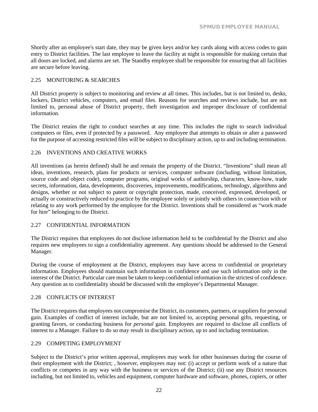Shortly after an employee's start date, they may be given keys and/or key cards along with access codes to gain entry to District facilities. The last employee to leave the facility at night is responsible for making certain that all doors are locked, and alarms are set. The Standby employee shall be responsible for ensuring that all facilities are secure before leaving.

#### <span id="page-22-0"></span>2.25 MONITORING & SEARCHES

All District property is subject to monitoring and review at all times. This includes, but is not limited to, desks, lockers, District vehicles, computers, and email files. Reasons for searches and reviews include, but are not limited to, personal abuse of District property, theft investigation and improper disclosure of confidential information.

The District retains the right to conduct searches at any time. This includes the right to search individual computers or files, even if protected by a password. Any employee that attempts to obtain or alter a password for the purpose of accessing restricted files will be subject to disciplinary action, up to and including termination.

#### <span id="page-22-1"></span>2.26 INVENTIONS AND CREATIVE WORKS

All inventions (as herein defined) shall be and remain the property of the District. "Inventions" shall mean all ideas, inventions, research, plans for products or services, computer software (including, without limitation, source code and object code), computer programs, original works of authorship, characters, know-how, trade secrets, information, data, developments, discoveries, improvements, modifications, technology, algorithms and designs, whether or not subject to patent or copyright protection, made, conceived, expressed, developed, or actually or constructively reduced to practice by the employee solely or jointly with others in connection with or relating to any work performed by the employee for the District. Inventions shall be considered as "work made for hire" belonging to the District.

#### <span id="page-22-2"></span>2.27 CONFIDENTIAL INFORMATION

The District requires that employees do not disclose information held to be confidential by the District and also requires new employees to sign a confidentiality agreement. Any questions should be addressed to the General Manager.

During the course of employment at the District, employees may have access to confidential or proprietary information. Employees should maintain such information in confidence and use such information only in the interest of the District. Particular care must be taken to keep confidential information in the strictest of confidence. Any question as to confidentiality should be discussed with the employee's Departmental Manager.

#### <span id="page-22-3"></span>2.28 CONFLICTS OF INTEREST

The District requires that employees not compromise the District, its customers, partners, or suppliers for personal gain. Examples of conflict of interest include, but are not limited to, accepting personal gifts, requesting, or granting favors, or conducting business for *personal* gain. Employees are required to disclose all conflicts of interest to a Manager. Failure to do so may result in disciplinary action, up to and including termination.

#### <span id="page-22-4"></span>2.29 COMPETING EMPLOYMENT

Subject to the District's prior written approval, employees may work for other businesses during the course of their employment with the District; , however, employees may not: (i) accept or perform work of a nature that conflicts or competes in any way with the business or services of the District; (ii) use any District resources including, but not limited to, vehicles and equipment, computer hardware and software, phones, copiers, or other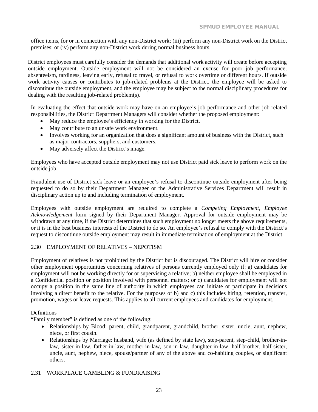office items, for or in connection with any non-District work; (iii) perform any non-District work on the District premises; or (iv) perform any non-District work during normal business hours.

District employees must carefully consider the demands that additional work activity will create before accepting outside employment. Outside employment will not be considered an excuse for poor job performance, absenteeism, tardiness, leaving early, refusal to travel, or refusal to work overtime or different hours. If outside work activity causes or contributes to job-related problems at the District, the employee will be asked to discontinue the outside employment, and the employee may be subject to the normal disciplinary procedures for dealing with the resulting job-related problem(s).

In evaluating the effect that outside work may have on an employee's job performance and other job-related responsibilities, the District Department Managers will consider whether the proposed employment:

- May reduce the employee's efficiency in working for the District.
- May contribute to an unsafe work environment.
- Involves working for an organization that does a significant amount of business with the District, such as major contractors, suppliers, and customers.
- May adversely affect the District's image.

Employees who have accepted outside employment may not use District paid sick leave to perform work on the outside job.

Fraudulent use of District sick leave or an employee's refusal to discontinue outside employment after being requested to do so by their Department Manager or the Administrative Services Department will result in disciplinary action up to and including termination of employment.

Employees with outside employment are required to complete a *Competing Employment, Employee Acknowledgement* form signed by their Department Manager. Approval for outside employment may be withdrawn at any time, if the District determines that such employment no longer meets the above requirements, or it is in the best business interests of the District to do so. An employee's refusal to comply with the District's request to discontinue outside employment may result in immediate termination of employment at the District.

#### <span id="page-23-0"></span>2.30 EMPLOYMENT OF RELATIVES – NEPOTISM

Employment of relatives is not prohibited by the District but is discouraged. The District will hire or consider other employment opportunities concerning relatives of persons currently employed only if: a) candidates for employment will not be working directly for or supervising a relative; b) neither employee shall be employed in a Confidential position or position involved with personnel matters; or c) candidates for employment will not occupy a position in the same line of authority in which employees can initiate or participate in decisions involving a direct benefit to the relative. For the purposes of b) and c) this includes hiring, retention, transfer, promotion, wages or leave requests. This applies to all current employees and candidates for employment.

#### Definitions

"Family member" is defined as one of the following:

- Relationships by Blood: parent, child, grandparent, grandchild, brother, sister, uncle, aunt, nephew, niece, or first cousin.
- Relationships by Marriage: husband, wife (as defined by state law), step-parent, step-child, brother-inlaw, sister-in-law, father-in-law, mother-in-law, son-in-law, daughter-in-law, half-brother, half-sister, uncle, aunt, nephew, niece, spouse/partner of any of the above and co-habiting couples, or significant others.

#### <span id="page-23-1"></span>2.31 WORKPLACE GAMBLING & FUNDRAISING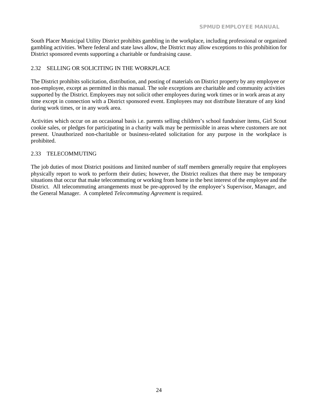South Placer Municipal Utility District prohibits gambling in the workplace, including professional or organized gambling activities. Where federal and state laws allow, the District may allow exceptions to this prohibition for District sponsored events supporting a charitable or fundraising cause.

#### <span id="page-24-0"></span>2.32 SELLING OR SOLICITING IN THE WORKPLACE

The District prohibits solicitation, distribution, and posting of materials on District property by any employee or non-employee, except as permitted in this manual. The sole exceptions are charitable and community activities supported by the District. Employees may not solicit other employees during work times or in work areas at any time except in connection with a District sponsored event. Employees may not distribute literature of any kind during work times, or in any work area.

Activities which occur on an occasional basis i.e. parents selling children's school fundraiser items, Girl Scout cookie sales, or pledges for participating in a charity walk may be permissible in areas where customers are not present. Unauthorized non-charitable or business-related solicitation for any purpose in the workplace is prohibited.

#### <span id="page-24-1"></span>2.33 TELECOMMUTING

The job duties of most District positions and limited number of staff members generally require that employees physically report to work to perform their duties; however, the District realizes that there may be temporary situations that occur that make telecommuting or working from home in the best interest of the employee and the District. All telecommuting arrangements must be pre-approved by the employee's Supervisor, Manager, and the General Manager. A completed *Telecommuting Agreement* is required.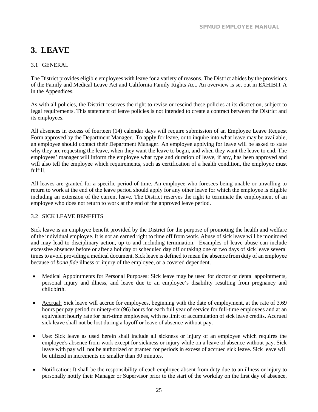# <span id="page-26-0"></span>**3. LEAVE**

### <span id="page-26-1"></span>3.1 GENERAL

The District provides eligible employees with leave for a variety of reasons. The District abides by the provisions of the Family and Medical Leave Act and California Family Rights Act. An overview is set out in EXHIBIT A in the Appendices.

As with all policies, the District reserves the right to revise or rescind these policies at its discretion, subject to legal requirements. This statement of leave policies is not intended to create a contract between the District and its employees.

All absences in excess of fourteen (14) calendar days will require submission of an Employee Leave Request Form approved by the Department Manager. To apply for leave, or to inquire into what leave may be available, an employee should contact their Department Manager. An employee applying for leave will be asked to state why they are requesting the leave, when they want the leave to begin, and when they want the leave to end. The employees' manager will inform the employee what type and duration of leave, if any, has been approved and will also tell the employee which requirements, such as certification of a health condition, the employee must fulfill.

All leaves are granted for a specific period of time. An employee who foresees being unable or unwilling to return to work at the end of the leave period should apply for any other leave for which the employee is eligible including an extension of the current leave. The District reserves the right to terminate the employment of an employee who does not return to work at the end of the approved leave period.

#### <span id="page-26-2"></span>3.2 SICK LEAVE BENEFITS

Sick leave is an employee benefit provided by the District for the purpose of promoting the health and welfare of the individual employee. It is not an earned right to time off from work. Abuse of sick leave will be monitored and may lead to disciplinary action, up to and including termination. Examples of leave abuse can include excessive absences before or after a holiday or scheduled day off or taking one or two days of sick leave several times to avoid providing a medical document. Sick leave is defined to mean the absence from duty of an employee because of *bona fide* illness or injury of the employee, or a covered dependent.

- Medical Appointments for Personal Purposes: Sick leave may be used for doctor or dental appointments, personal injury and illness, and leave due to an employee's disability resulting from pregnancy and childbirth.
- Accrual: Sick leave will accrue for employees, beginning with the date of employment, at the rate of 3.69 hours per pay period or ninety-six (96) hours for each full year of service for full-time employees and at an equivalent hourly rate for part-time employees, with no limit of accumulation of sick leave credits. Accrued sick leave shall not be lost during a layoff or leave of absence without pay.
- Use: Sick leave as used herein shall include all sickness or injury of an employee which requires the employee's absence from work except for sickness or injury while on a leave of absence without pay. Sick leave with pay will not be authorized or granted for periods in excess of accrued sick leave. Sick leave will be utilized in increments no smaller than 30 minutes.
- Notification: It shall be the responsibility of each employee absent from duty due to an illness or injury to personally notify their Manager or Supervisor prior to the start of the workday on the first day of absence,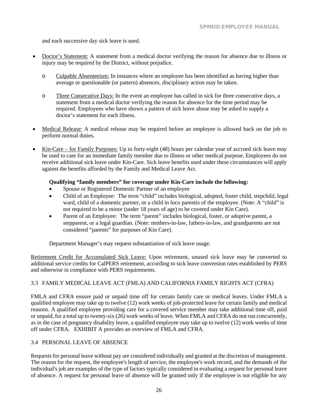and each successive day sick leave is used.

- Doctor's Statement: A statement from a medical doctor verifying the reason for absence due to illness or injury may be required by the District, without prejudice.
	- o Culpable Absenteeism: In instances where an employee has been identified as having higher than average or questionable (or pattern) absences, disciplinary action may be taken.
	- o Three Consecutive Days: In the event an employee has called in sick for three consecutive days, a statement from a medical doctor verifying the reason for absence for the time period may be required. Employees who have shown a pattern of sick leave abuse may be asked to supply a doctor's statement for each illness.
- Medical Release: A medical release may be required before an employee is allowed back on the job to perform normal duties.
- Kin-Care for Family Purposes: Up to forty-eight (48) hours per calendar year of accrued sick leave may be used to care for an immediate family member due to illness or other medical purpose. Employees do not receive additional sick leave under Kin-Care. Sick leave benefits used under these circumstances will apply against the benefits afforded by the Family and Medical Leave Act.

#### **Qualifying "family members" for coverage under Kin-Care include the following:**

- Spouse or Registered Domestic Partner of an employee
- Child of an Employee: The term "child" includes biological, adopted, foster child, stepchild, legal ward, child of a domestic partner, or a child in loco parentis of the employee. (Note: A "child" is not required to be a minor (under 18 years of age) to be covered under Kin Care).
- Parent of an Employee: The term "parent" includes biological, foster, or adoptive parent, a stepparent, or a legal guardian. (Note: mothers-in-law, fathers-in-law, and grandparents are not considered "parents" for purposes of Kin Care).

Department Manager's may request substantiation of sick leave usage.

Retirement Credit for Accumulated Sick Leave: Upon retirement, unused sick leave may be converted to additional service credits for CalPERS retirement, according to sick leave conversion rates established by PERS and otherwise in compliance with PERS requirements.

#### <span id="page-27-0"></span>3.3 FAMILY MEDICAL LEAVE ACT (FMLA) AND CALIFORNIA FAMILY RIGHTS ACT (CFRA)

FMLA and CFRA ensure paid or unpaid time off for certain family care or medical leaves. Under FMLA a qualified employee may take up to twelve (12) work weeks of job-protected leave for certain family and medical reasons. A qualified employee providing care for a covered service member may take additional time off, paid or unpaid, for a total up to twenty-six (26) work weeks of leave. When FMLA and CFRA do not run concurrently, as in the case of pregnancy disability leave, a qualified employee may take up to twelve (12) work weeks of time off under CFRA. EXHIBIT A provides an overview of FMLA and CFRA.

#### <span id="page-27-1"></span>3.4 PERSONAL LEAVE OF ABSENCE

Requests for personal leave without pay are considered individually and granted at the discretion of management. The reason for the request, the employee's length of service, the employee's work record, and the demands of the individual's job are examples of the type of factors typically considered in evaluating a request for personal leave of absence. A request for personal leave of absence will be granted only if the employee is not eligible for any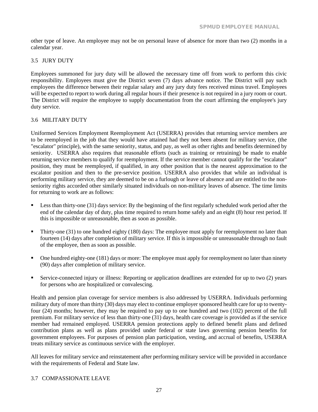other type of leave. An employee may not be on personal leave of absence for more than two (2) months in a calendar year.

#### <span id="page-28-0"></span>3.5 JURY DUTY

Employees summoned for jury duty will be allowed the necessary time off from work to perform this civic responsibility. Employees must give the District seven (7) days advance notice. The District will pay such employees the difference between their regular salary and any jury duty fees received minus travel. Employees will be expected to report to work during all regular hours if their presence is not required in a jury room or court. The District will require the employee to supply documentation from the court affirming the employee's jury duty service.

#### <span id="page-28-1"></span>3.6 MILITARY DUTY

Uniformed Services Employment Reemployment Act (USERRA) provides that returning service members are to be reemployed in the job that they would have attained had they not been absent for military service, (the "escalator" principle), with the same seniority, status, and pay, as well as other rights and benefits determined by seniority. USERRA also requires that reasonable efforts (such as training or retraining) be made to enable returning service members to qualify for reemployment. If the service member cannot qualify for the "escalator" position, they must be reemployed, if qualified, in any other position that is the nearest approximation to the escalator position and then to the pre-service position. USERRA also provides that while an individual is performing military service, they are deemed to be on a furlough or leave of absence and are entitled to the nonseniority rights accorded other similarly situated individuals on non-military leaves of absence. The time limits for returning to work are as follows:

- **Less than thirty-one (31) days service:** By the beginning of the first regularly scheduled work period after the end of the calendar day of duty, plus time required to return home safely and an eight (8) hour rest period. If this is impossible or unreasonable, then as soon as possible.
- Thirty-one (31) to one hundred eighty (180) days: The employee must apply for reemployment no later than fourteen (14) days after completion of military service. If this is impossible or unreasonable through no fault of the employee, then as soon as possible.
- $\blacksquare$  One hundred eighty-one (181) days or more: The employee must apply for reemployment no later than ninety (90) days after completion of military service.
- Service-connected injury or illness: Reporting or application deadlines are extended for up to two (2) years for persons who are hospitalized or convalescing.

Health and pension plan coverage for service members is also addressed by USERRA. Individuals performing military duty of more than thirty (30) days may elect to continue employer sponsored health care for up to twentyfour (24) months; however, they may be required to pay up to one hundred and two (102) percent of the full premium. For military service of less than thirty-one (31) days, health care coverage is provided as if the service member had remained employed. USERRA pension protections apply to defined benefit plans and defined contribution plans as well as plans provided under federal or state laws governing pension benefits for government employees. For purposes of pension plan participation, vesting, and accrual of benefits, USERRA treats military service as continuous service with the employer.

All leaves for military service and reinstatement after performing military service will be provided in accordance with the requirements of Federal and State law.

#### <span id="page-28-2"></span>3.7 COMPASSIONATE LEAVE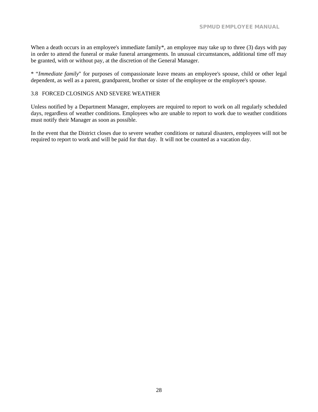When a death occurs in an employee's immediate family<sup>\*</sup>, an employee may take up to three (3) days with pay in order to attend the funeral or make funeral arrangements. In unusual circumstances, additional time off may be granted, with or without pay, at the discretion of the General Manager.

\* "*Immediate family*" for purposes of compassionate leave means an employee's spouse, child or other legal dependent, as well as a parent, grandparent, brother or sister of the employee or the employee's spouse.

#### <span id="page-29-0"></span>3.8 FORCED CLOSINGS AND SEVERE WEATHER

Unless notified by a Department Manager, employees are required to report to work on all regularly scheduled days, regardless of weather conditions. Employees who are unable to report to work due to weather conditions must notify their Manager as soon as possible.

In the event that the District closes due to severe weather conditions or natural disasters, employees will not be required to report to work and will be paid for that day. It will not be counted as a vacation day.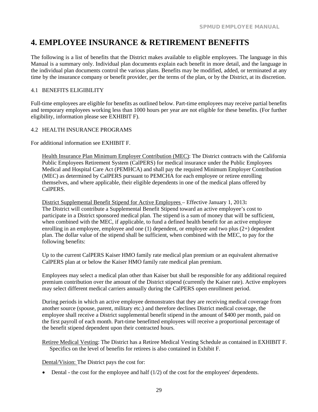# <span id="page-30-0"></span>**4. EMPLOYEE INSURANCE & RETIREMENT BENEFITS**

The following is a list of benefits that the District makes available to eligible employees. The language in this Manual is a summary only. Individual plan documents explain each benefit in more detail, and the language in the individual plan documents control the various plans. Benefits may be modified, added, or terminated at any time by the insurance company or benefit provider, per the terms of the plan, or by the District, at its discretion.

#### <span id="page-30-1"></span>4.1 BENEFITS ELIGIBILITY

Full-time employees are eligible for benefits as outlined below. Part-time employees may receive partial benefits and temporary employees working less than 1000 hours per year are not eligible for these benefits. (For further eligibility, information please see EXHIBIT F).

#### <span id="page-30-2"></span>4.2 HEALTH INSURANCE PROGRAMS

For additional information see EXHIBIT F.

Health Insurance Plan Minimum Employer Contribution (MEC): The District contracts with the California Public Employees Retirement System (CalPERS) for medical insurance under the Public Employees Medical and Hospital Care Act (PEMHCA) and shall pay the required Minimum Employer Contribution (MEC) as determined by CalPERS pursuant to PEMCHA for each employee or retiree enrolling themselves, and where applicable, their eligible dependents in one of the medical plans offered by CalPERS.

District Supplemental Benefit Stipend for Active Employees – Effective January 1, 2013**:** The District will contribute a Supplemental Benefit Stipend toward an active employee's cost to participate in a District sponsored medical plan. The stipend is a sum of money that will be sufficient, when combined with the MEC, if applicable, to fund a defined health benefit for an active employee enrolling in an employee, employee and one (1) dependent, or employee and two plus (2+) dependent plan. The dollar value of the stipend shall be sufficient, when combined with the MEC, to pay for the following benefits:

Up to the current CalPERS Kaiser HMO family rate medical plan premium or an equivalent alternative CalPERS plan at or below the Kaiser HMO family rate medical plan premium.

Employees may select a medical plan other than Kaiser but shall be responsible for any additional required premium contribution over the amount of the District stipend (currently the Kaiser rate). Active employees may select different medical carriers annually during the CalPERS open enrollment period.

During periods in which an active employee demonstrates that they are receiving medical coverage from another source (spouse, parent, military etc.) and therefore declines District medical coverage, the employee shall receive a District supplemental benefit stipend in the amount of \$400 per month, paid on the first payroll of each month. Part-time benefitted employees will receive a proportional percentage of the benefit stipend dependent upon their contracted hours.

Retiree Medical Vesting: The District has a Retiree Medical Vesting Schedule as contained in EXHIBIT F. Specifics on the level of benefits for retirees is also contained in Exhibit F.

Dental/Vision: The District pays the cost for:

• Dental - the cost for the employee and half  $(1/2)$  of the cost for the employees' dependents.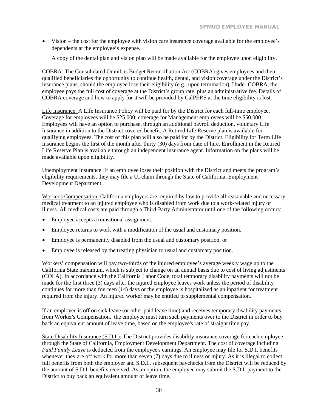• Vision – the cost for the employee with vision care insurance coverage available for the employee's dependents at the employee's expense.

A copy of the dental plan and vision plan will be made available for the employee upon eligibility.

COBRA: The Consolidated Omnibus Budget Reconciliation Act (COBRA) gives employees and their qualified beneficiaries the opportunity to continue health, dental, and vision coverage under the District's insurance plans, should the employee lose their eligibility (e.g., upon termination). Under COBRA, the employee pays the full cost of coverage at the District's group rate, plus an administrative fee. Details of COBRA coverage and how to apply for it will be provided by CalPERS at the time eligibility is lost.

Life Insurance: A Life Insurance Policy will be paid for by the District for each full-time employee. Coverage for employees will be \$25,000; coverage for Management employees will be \$50,000. Employees will have an option to purchase, through an additional payroll deduction, voluntary Life Insurance in addition to the District covered benefit. A Retired Life Reserve plan is available for qualifying employees. The cost of this plan will also be paid for by the District. Eligibility for Term Life Insurance begins the first of the month after thirty (30) days from date of hire. Enrollment in the Retired Life Reserve Plan is available through an independent insurance agent. Information on the plans will be made available upon eligibility.

Unemployment Insurance: If an employee loses their position with the District and meets the program's eligibility requirements, they may file a UI claim through the State of California, Employment Development Department.

Worker's Compensation: California employers are required by law to provide all reasonable and necessary medical treatment to an injured employee who is disabled from work due to a work-related injury or illness. All medical costs are paid through a Third-Party Administrator until one of the following occurs:

- Employee accepts a transitional assignment.
- Employee returns to work with a modification of the usual and customary position.
- Employee is permanently disabled from the usual and customary position, or
- Employee is released by the treating physician to usual and customary position.

Workers' compensation will pay two-thirds of the injured employee's average weekly wage up to the California State maximum, which is subject to change on an annual basis due to cost of living adjustments (COLA). In accordance with the California Labor Code, total temporary disability payments will not be made for the first three (3) days after the injured employee leaves work unless the period of disability continues for more than fourteen (14) days or the employee is hospitalized as an inpatient for treatment required from the injury. An injured worker may be entitled to supplemental compensation.

If an employee is off on sick leave (or other paid leave time) and receives temporary disability payments from Worker's Compensation, the employee must turn such payments over to the District in order to buy back an equivalent amount of leave time, based on the employee's rate of straight time pay.

State Disability Insurance (S.D.I.): The District provides disability insurance coverage for each employee through the State of California, Employment Development Department. The cost of coverage including Paid Family Leave is deducted from the employee's earnings. An employee may file for S.D.I. benefits whenever they are off work for more than seven (7) days due to illness or injury. As it is illegal to collect full benefits from both the employer and S.D.I., subsequent paychecks from the District will be reduced by the amount of S.D.I. benefits received. As an option, the employee may submit the S.D.I. payment to the District to buy back an equivalent amount of leave time.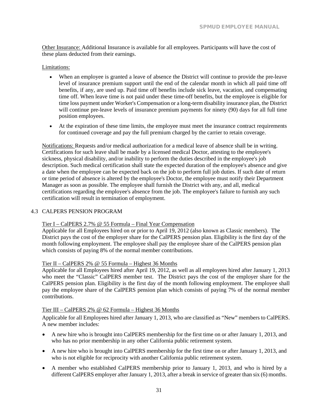Other Insurance: Additional Insurance is available for all employees. Participants will have the cost of these plans deducted from their earnings.

#### Limitations:

- When an employee is granted a leave of absence the District will continue to provide the pre-leave level of insurance premium support until the end of the calendar month in which all paid time off benefits, if any, are used up. Paid time off benefits include sick leave, vacation, and compensating time off. When leave time is not paid under these time-off benefits, but the employee is eligible for time loss payment under Worker's Compensation or a long-term disability insurance plan, the District will continue pre-leave levels of insurance premium payments for ninety (90) days for all full time position employees.
- At the expiration of these time limits, the employee must meet the insurance contract requirements for continued coverage and pay the full premium charged by the carrier to retain coverage.

Notifications: Requests and/or medical authorization for a medical leave of absence shall be in writing. Certifications for such leave shall be made by a licensed medical Doctor, attesting to the employee's sickness, physical disability, and/or inability to perform the duties described in the employee's job description. Such medical certification shall state the expected duration of the employee's absence and give a date when the employee can be expected back on the job to perform full job duties. If such date of return or time period of absence is altered by the employee's Doctor, the employee must notify their Department Manager as soon as possible. The employee shall furnish the District with any, and all, medical certifications regarding the employee's absence from the job. The employee's failure to furnish any such certification will result in termination of employment.

#### <span id="page-32-0"></span>4.3 CALPERS PENSION PROGRAM

#### Tier I – CalPERS 2.7% @ 55 Formula – Final Year Compensation

Applicable for all Employees hired on or prior to April 19, 2012 (also known as Classic members). The District pays the cost of the employer share for the CalPERS pension plan. Eligibility is the first day of the month following employment. The employee shall pay the employee share of the CalPERS pension plan which consists of paying 8% of the normal member contributions.

### Tier II – CalPERS 2% @ 55 Formula – Highest 36 Months

Applicable for all Employees hired after April 19, 2012, as well as all employees hired after January 1, 2013 who meet the "Classic" CalPERS member test. The District pays the cost of the employer share for the CalPERS pension plan. Eligibility is the first day of the month following employment. The employee shall pay the employee share of the CalPERS pension plan which consists of paying 7% of the normal member contributions.

#### Tier III – CalPERS 2% @ 62 Formula – Highest 36 Months

Applicable for all Employees hired after January 1, 2013, who are classified as "New" members to CalPERS. A new member includes:

- A new hire who is brought into CalPERS membership for the first time on or after January 1, 2013, and who has no prior membership in any other California public retirement system.
- A new hire who is brought into CalPERS membership for the first time on or after January 1, 2013, and who is not eligible for reciprocity with another California public retirement system.
- A member who established CalPERS membership prior to January 1, 2013, and who is hired by a different CalPERS employer after January 1, 2013, after a break in service of greater than six (6) months.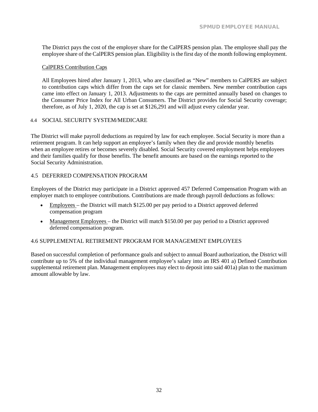The District pays the cost of the employer share for the CalPERS pension plan. The employee shall pay the employee share of the CalPERS pension plan. Eligibility is the first day of the month following employment.

#### CalPERS Contribution Caps

All Employees hired after January 1, 2013, who are classified as "New" members to CalPERS are subject to contribution caps which differ from the caps set for classic members. New member contribution caps came into effect on January 1, 2013. Adjustments to the caps are permitted annually based on changes to the Consumer Price Index for All Urban Consumers. The District provides for Social Security coverage; therefore, as of July 1, 2020, the cap is set at \$126,291 and will adjust every calendar year.

#### <span id="page-33-0"></span>4.4 SOCIAL SECURITY SYSTEM/MEDICARE

The District will make payroll deductions as required by law for each employee. Social Security is more than a retirement program. It can help support an employee's family when they die and provide monthly benefits when an employee retires or becomes severely disabled. Social Security covered employment helps employees and their families qualify for those benefits. The benefit amounts are based on the earnings reported to the Social Security Administration.

#### <span id="page-33-1"></span>4.5 DEFERRED COMPENSATION PROGRAM

Employees of the District may participate in a District approved 457 Deferred Compensation Program with an employer match to employee contributions. Contributions are made through payroll deductions as follows:

- Employees the District will match \$125.00 per pay period to a District approved deferred compensation program
- Management Employees the District will match \$150.00 per pay period to a District approved deferred compensation program.

#### <span id="page-33-2"></span>4.6 SUPPLEMENTAL RETIREMENT PROGRAM FOR MANAGEMENT EMPLOYEES

Based on successful completion of performance goals and subject to annual Board authorization, the District will contribute up to 5% of the individual management employee's salary into an IRS 401 a) Defined Contribution supplemental retirement plan. Management employees may elect to deposit into said 401a) plan to the maximum amount allowable by law.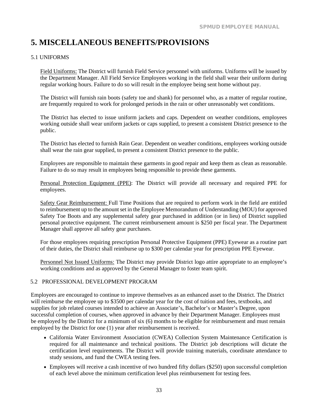# <span id="page-34-0"></span>**5. MISCELLANEOUS BENEFITS/PROVISIONS**

#### <span id="page-34-1"></span>5.1 UNIFORMS

Field Uniforms: The District will furnish Field Service personnel with uniforms. Uniforms will be issued by the Department Manager. All Field Service Employees working in the field shall wear their uniform during regular working hours. Failure to do so will result in the employee being sent home without pay.

The District will furnish rain boots (safety toe and shank) for personnel who, as a matter of regular routine, are frequently required to work for prolonged periods in the rain or other unreasonably wet conditions.

The District has elected to issue uniform jackets and caps. Dependent on weather conditions, employees working outside shall wear uniform jackets or caps supplied, to present a consistent District presence to the public.

The District has elected to furnish Rain Gear. Dependent on weather conditions, employees working outside shall wear the rain gear supplied, to present a consistent District presence to the public.

Employees are responsible to maintain these garments in good repair and keep them as clean as reasonable. Failure to do so may result in employees being responsible to provide these garments.

Personal Protection Equipment (PPE): The District will provide all necessary and required PPE for employees.

Safety Gear Reimbursement: Full Time Positions that are required to perform work in the field are entitled to reimbursement up to the amount set in the Employee Memorandum of Understanding (MOU) for approved Safety Toe Boots and any supplemental safety gear purchased in addition (or in lieu) of District supplied personal protective equipment. The current reimbursement amount is \$250 per fiscal year. The Department Manager shall approve all safety gear purchases.

For those employees requiring prescription Personal Protective Equipment (PPE) Eyewear as a routine part of their duties, the District shall reimburse up to \$300 per calendar year for prescription PPE Eyewear.

Personnel Not Issued Uniforms: The District may provide District logo attire appropriate to an employee's working conditions and as approved by the General Manager to foster team spirit.

#### <span id="page-34-2"></span>5.2 PROFESSIONAL DEVELOPMENT PROGRAM

Employees are encouraged to continue to improve themselves as an enhanced asset to the District. The District will reimburse the employee up to \$3500 per calendar year for the cost of tuition and fees, textbooks, and supplies for job related courses intended to achieve an Associate's, Bachelor's or Master's Degree, upon successful completion of courses, when approved in advance by their Department Manager. Employees must be employed by the District for a minimum of six (6) months to be eligible for reimbursement and must remain employed by the District for one (1) year after reimbursement is received.

- California Water Environment Association (CWEA) Collection System Maintenance Certification is required for all maintenance and technical positions. The District job descriptions will dictate the certification level requirements. The District will provide training materials, coordinate attendance to study sessions, and fund the CWEA testing fees.
- Employees will receive a cash incentive of two hundred fifty dollars (\$250) upon successful completion of each level above the minimum certification level plus reimbursement for testing fees.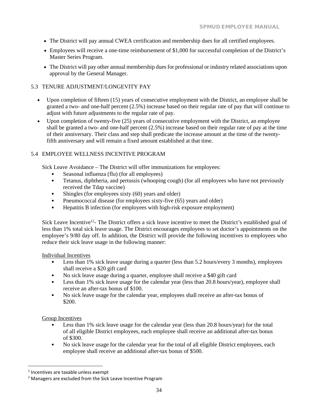- The District will pay annual CWEA certification and membership dues for all certified employees.
- Employees will receive a one-time reimbursement of \$1,000 for successful completion of the District's Master Series Program.
- The District will pay other annual membership dues for professional or industry related associations upon approval by the General Manager.

#### <span id="page-35-0"></span>5.3 TENURE ADJUSTMENT/LONGEVITY PAY

- Upon completion of fifteen (15) years of consecutive employment with the District, an employee shall be granted a two- and one-half percent (2.5%) increase based on their regular rate of pay that will continue to adjust with future adjustments to the regular rate of pay.
- Upon completion of twenty-five (25) years of consecutive employment with the District, an employee shall be granted a two- and one-half percent (2.5%) increase based on their regular rate of pay at the time of their anniversary. Their class and step shall predicate the increase amount at the time of the twentyfifth anniversary and will remain a fixed amount established at that time.

#### <span id="page-35-1"></span>5.4 EMPLOYEE WELLNESS INCENTIVE PROGRAM

Sick Leave Avoidance – The District will offer immunizations for employees:

- Seasonal influenza (flu) (for all employees)
- Tetanus, diphtheria, and pertussis (whooping cough) (for all employees who have not previously received the Tdap vaccine)
- Shingles (for employees sixty (60) years and older)
- Pneumococcal disease (for employees sixty-five (65) years and older)
- Hepatitis B infection (for employees with high-risk exposure employment)

Sick Leave Incentive<sup>12</sup>- The District offers a sick leave incentive to meet the District's established goal of less than 1% total sick leave usage. The District encourages employees to set doctor's appointments on the employee's 9/80 day off. In addition, the District will provide the following incentives to employees who reduce their sick leave usage in the following manner:

#### Individual Incentives

- Less than 1% sick leave usage during a quarter (less than 5.2 hours/every 3 months), employees shall receive a \$20 gift card
- No sick leave usage during a quarter, employee shall receive a \$40 gift card
- Less than 1% sick leave usage for the calendar year (less than 20.8 hours/year), employee shall receive an after-tax bonus of \$100.
- No sick leave usage for the calendar year, employees shall receive an after-tax bonus of \$200.

#### Group Incentives

- Less than 1% sick leave usage for the calendar year (less than 20.8 hours/year) for the total of all eligible District employees, each employee shall receive an additional after-tax bonus of \$300.
- No sick leave usage for the calendar year for the total of all eligible District employees, each employee shall receive an additional after-tax bonus of \$500.

<sup>1</sup> Incentives are taxable unless exempt

<sup>&</sup>lt;sup>2</sup> Managers are excluded from the Sick Leave Incentive Program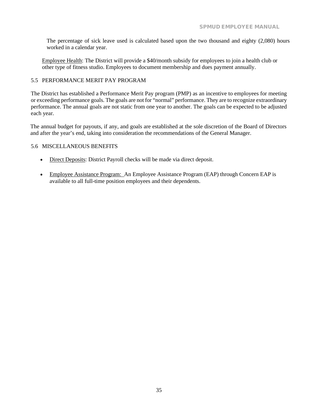The percentage of sick leave used is calculated based upon the two thousand and eighty (2,080) hours worked in a calendar year.

Employee Health: The District will provide a \$40/month subsidy for employees to join a health club or other type of fitness studio. Employees to document membership and dues payment annually.

#### <span id="page-36-0"></span>5.5 PERFORMANCE MERIT PAY PROGRAM

The District has established a Performance Merit Pay program (PMP) as an incentive to employees for meeting or exceeding performance goals. The goals are not for "normal" performance. They are to recognize extraordinary performance. The annual goals are not static from one year to another. The goals can be expected to be adjusted each year.

The annual budget for payouts, if any, and goals are established at the sole discretion of the Board of Directors and after the year's end, taking into consideration the recommendations of the General Manager.

#### <span id="page-36-1"></span>5.6 MISCELLANEOUS BENEFITS

- Direct Deposits: District Payroll checks will be made via direct deposit.
- Employee Assistance Program: An Employee Assistance Program (EAP) through Concern EAP is available to all full-time position employees and their dependents.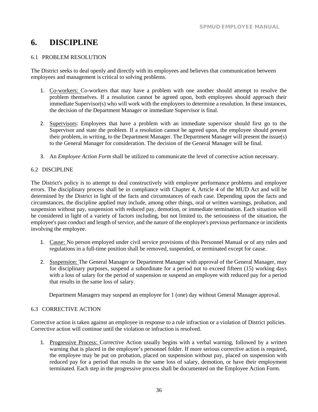# <span id="page-38-0"></span>**6. DISCIPLINE**

#### <span id="page-38-1"></span>6.1 PROBLEM RESOLUTION

The District seeks to deal openly and directly with its employees and believes that communication between employees and management is critical to solving problems.

- 1. Co-workers: Co-workers that may have a problem with one another should attempt to resolve the problem themselves. If a resolution cannot be agreed upon, both employees should approach their immediate Supervisor(s) who will work with the employees to determine a resolution. In these instances, the decision of the Department Manager or immediate Supervisor is final.
- 2. Supervisors: Employees that have a problem with an immediate supervisor should first go to the Supervisor and state the problem. If a resolution cannot be agreed upon, the employee should present their problem, in writing, to the Department Manager. The Department Manager will present the issue(s) to the General Manager for consideration. The decision of the General Manager will be final.
- 3. An *Employee Action Form* shall be utilized to communicate the level of corrective action necessary.

#### <span id="page-38-2"></span>6.2 DISCIPLINE

The District's policy is to attempt to deal constructively with employee performance problems and employee errors. The disciplinary process shall be in compliance with Chapter 4, Article 4 of the MUD Act and will be determined by the District in light of the facts and circumstances of each case. Depending upon the facts and circumstances, the discipline applied may include, among other things, oral or written warnings, probation, and suspension without pay, suspension with reduced pay, demotion, or immediate termination. Each situation will be considered in light of a variety of factors including, but not limited to, the seriousness of the situation, the employee's past conduct and length of service, and the nature of the employee's previous performance or incidents involving the employee.

- 1. Cause: No person employed under civil service provisions of this Personnel Manual or of any rules and regulations in a full-time position shall be removed, suspended, or terminated except for cause.
- 2. Suspension: The General Manager or Department Manager with approval of the General Manager, may for disciplinary purposes, suspend a subordinate for a period not to exceed fifteen (15) working days with a loss of salary for the period of suspension or suspend an employee with reduced pay for a period that results in the same loss of salary.

Department Managers may suspend an employee for 1 (one) day without General Manager approval.

#### <span id="page-38-3"></span>6.3 CORRECTIVE ACTION

Corrective action is taken against an employee in response to a rule infraction or a violation of District policies. Corrective action will continue until the violation or infraction is resolved.

1. Progressive Process: Corrective Action usually begins with a verbal warning, followed by a written warning that is placed in the employee's personnel folder. If more serious corrective action is required, the employee may be put on probation, placed on suspension without pay, placed on suspension with reduced pay for a period that results in the same loss of salary, demotion, or have their employment terminated. Each step in the progressive process shall be documented on the Employee Action Form.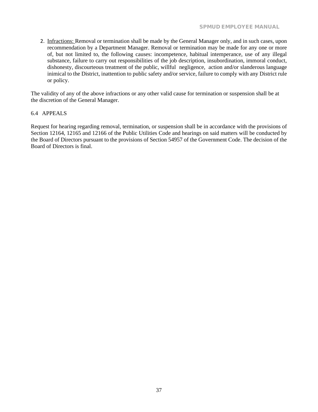2. Infractions: Removal or termination shall be made by the General Manager only, and in such cases, upon recommendation by a Department Manager. Removal or termination may be made for any one or more of, but not limited to, the following causes: incompetence, habitual intemperance, use of any illegal substance, failure to carry out responsibilities of the job description, insubordination, immoral conduct, dishonesty, discourteous treatment of the public, willful negligence, action and/or slanderous language inimical to the District, inattention to public safety and/or service, failure to comply with any District rule or policy.

The validity of any of the above infractions or any other valid cause for termination or suspension shall be at the discretion of the General Manager.

#### <span id="page-39-0"></span>6.4 APPEALS

Request for hearing regarding removal, termination, or suspension shall be in accordance with the provisions of Section 12164, 12165 and 12166 of the Public Utilities Code and hearings on said matters will be conducted by the Board of Directors pursuant to the provisions of Section 54957 of the Government Code. The decision of the Board of Directors is final.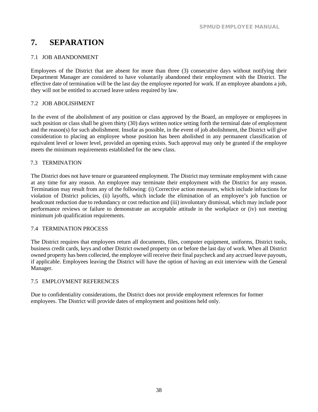# <span id="page-40-0"></span>**7. SEPARATION**

#### <span id="page-40-1"></span>7.1 JOB ABANDONMENT

Employees of the District that are absent for more than three (3) consecutive days without notifying their Department Manager are considered to have voluntarily abandoned their employment with the District. The effective date of termination will be the last day the employee reported for work. If an employee abandons a job, they will not be entitled to accrued leave unless required by law.

#### <span id="page-40-2"></span>7.2 JOB ABOLISHMENT

In the event of the abolishment of any position or class approved by the Board, an employee or employees in such position or class shall be given thirty (30) days written notice setting forth the terminal date of employment and the reason(s) for such abolishment. Insofar as possible, in the event of job abolishment, the District will give consideration to placing an employee whose position has been abolished in any permanent classification of equivalent level or lower level, provided an opening exists. Such approval may only be granted if the employee meets the minimum requirements established for the new class.

#### <span id="page-40-3"></span>7.3 TERMINATION

The District does not have tenure or guaranteed employment. The District may terminate employment with cause at any time for any reason. An employee may terminate their employment with the District for any reason. Termination may result from any of the following: (i) Corrective action measures, which include infractions for violation of District policies, (ii) layoffs, which include the elimination of an employee's job function or headcount reduction due to redundancy or cost reduction and (iii) involuntary dismissal, which may include poor performance reviews or failure to demonstrate an acceptable attitude in the workplace or (iv) not meeting minimum job qualification requirements.

#### <span id="page-40-4"></span>7.4 TERMINATION PROCESS

The District requires that employees return all documents, files, computer equipment, uniforms, District tools, business credit cards, keys and other District owned property on or before the last day of work. When all District owned property has been collected, the employee will receive their final paycheck and any accrued leave payouts, if applicable. Employees leaving the District will have the option of having an exit interview with the General Manager.

#### <span id="page-40-5"></span>7.5 EMPLOYMENT REFERENCES

Due to confidentiality considerations, the District does not provide employment references for former employees. The District will provide dates of employment and positions held only.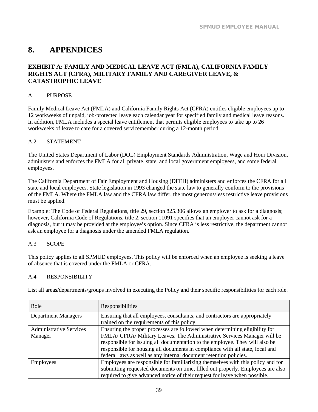# <span id="page-42-0"></span>**8. APPENDICES**

### <span id="page-42-1"></span>**EXHIBIT A: FAMILY AND MEDICAL LEAVE ACT (FMLA), CALIFORNIA FAMILY RIGHTS ACT (CFRA), MILITARY FAMILY AND CAREGIVER LEAVE, & CATASTROPHIC LEAVE**

#### <span id="page-42-2"></span>A.1 PURPOSE

Family Medical Leave Act (FMLA) and California Family Rights Act (CFRA) entitles eligible employees up to 12 workweeks of unpaid, job-protected leave each calendar year for specified family and medical leave reasons. In addition, FMLA includes a special leave entitlement that permits eligible employees to take up to 26 workweeks of leave to care for a covered servicemember during a 12-month period.

#### <span id="page-42-3"></span>A.2 STATEMENT

The United States Department of Labor (DOL) Employment Standards Administration, Wage and Hour Division, administers and enforces the FMLA for all private, state, and local government employees, and some federal employees.

The California Department of Fair Employment and Housing (DFEH) administers and enforces the CFRA for all state and local employees. State legislation in 1993 changed the state law to generally conform to the provisions of the FMLA. Where the FMLA law and the CFRA law differ, the most generous/less restrictive leave provisions must be applied.

Example: The Code of Federal Regulations, title 29, section 825.306 allows an employer to ask for a diagnosis; however, California Code of Regulations, title 2, section 11091 specifies that an employer cannot ask for a diagnosis, but it may be provided at the employee's option. Since CFRA is less restrictive, the department cannot ask an employee for a diagnosis under the amended FMLA regulation.

#### <span id="page-42-4"></span>A.3 SCOPE

This policy applies to all SPMUD employees. This policy will be enforced when an employee is seeking a leave of absence that is covered under the FMLA or CFRA.

#### <span id="page-42-5"></span>A.4 RESPONSIBILITY

List all areas/departments/groups involved in executing the Policy and their specific responsibilities for each role.

| Role                           | Responsibilities                                                                |
|--------------------------------|---------------------------------------------------------------------------------|
| <b>Department Managers</b>     | Ensuring that all employees, consultants, and contractors are appropriately     |
|                                | trained on the requirements of this policy.                                     |
| <b>Administrative Services</b> | Ensuring the proper processes are followed when determining eligibility for     |
| Manager                        | FMLA/ CFRA/ Military Leaves. The Administrative Services Manager will be        |
|                                | responsible for issuing all documentation to the employee. They will also be    |
|                                | responsible for housing all documents in compliance with all state, local and   |
|                                | federal laws as well as any internal document retention policies.               |
| <b>Employees</b>               | Employees are responsible for familiarizing themselves with this policy and for |
|                                | submitting requested documents on time, filled out properly. Employees are also |
|                                | required to give advanced notice of their request for leave when possible.      |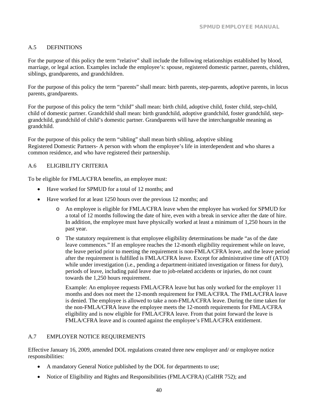#### <span id="page-43-0"></span>A.5 DEFINITIONS

For the purpose of this policy the term "relative" shall include the following relationships established by blood, marriage, or legal action. Examples include the employee's: spouse, registered domestic partner, parents, children, siblings, grandparents, and grandchildren.

For the purpose of this policy the term "parents" shall mean: birth parents, step-parents, adoptive parents, in locus parents, grandparents.

For the purpose of this policy the term "child" shall mean: birth child, adoptive child, foster child, step-child, child of domestic partner. Grandchild shall mean: birth grandchild, adoptive grandchild, foster grandchild, stepgrandchild, grandchild of child's domestic partner. Grandparents will have the interchangeable meaning as grandchild.

For the purpose of this policy the term "sibling" shall mean birth sibling, adoptive sibling Registered Domestic Partners- A person with whom the employee's life in interdependent and who shares a common residence, and who have registered their partnership.

#### <span id="page-43-1"></span>A.6 ELIGIBILITY CRITERIA

To be eligible for FMLA/CFRA benefits, an employee must:

- Have worked for SPMUD for a total of 12 months; and
- Have worked for at least 1250 hours over the previous 12 months; and
	- o An employee is eligible for FMLA/CFRA leave when the employee has worked for SPMUD for a total of 12 months following the date of hire, even with a break in service after the date of hire. In addition, the employee must have physically worked at least a minimum of 1,250 hours in the past year.
	- o The statutory requirement is that employee eligibility determinations be made "as of the date leave commences." If an employee reaches the 12-month eligibility requirement while on leave, the leave period prior to meeting the requirement is non-FMLA/CFRA leave, and the leave period after the requirement is fulfilled is FMLA/CFRA leave. Except for administrative time off (ATO) while under investigation (i.e., pending a department-initiated investigation or fitness for duty), periods of leave, including paid leave due to job-related accidents or injuries, do not count towards the 1,250 hours requirement.

Example: An employee requests FMLA/CFRA leave but has only worked for the employer 11 months and does not meet the 12-month requirement for FMLA/CFRA. The FMLA/CFRA leave is denied. The employee is allowed to take a non-FMLA/CFRA leave. During the time taken for the non-FMLA/CFRA leave the employee meets the 12-month requirements for FMLA/CFRA eligibility and is now eligible for FMLA/CFRA leave. From that point forward the leave is FMLA/CFRA leave and is counted against the employee's FMLA/CFRA entitlement.

#### <span id="page-43-2"></span>A.7 EMPLOYER NOTICE REQUIREMENTS

Effective January 16, 2009, amended DOL regulations created three new employer and/ or employee notice responsibilities:

- A mandatory General Notice published by the DOL for departments to use;
- Notice of Eligibility and Rights and Responsibilities (FMLA/CFRA) (CalHR 752); and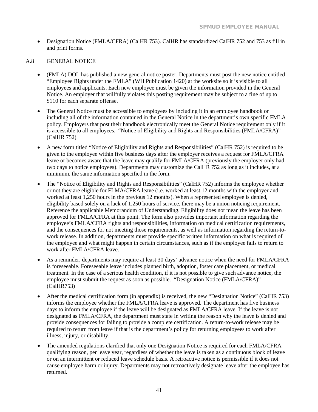• Designation Notice (FMLA/CFRA) (CalHR 753). CalHR has standardized CalHR 752 and 753 as fill in and print forms.

#### <span id="page-44-0"></span>A.8 GENERAL NOTICE

- (FMLA) DOL has published a new general notice poster. Departments must post the new notice entitled "Employee Rights under the FMLA" (WH Publication 1420) at the worksite so it is visible to all employees and applicants. Each new employee must be given the information provided in the General Notice. An employer that willfully violates this posting requirement may be subject to a fine of up to \$110 for each separate offense.
- The General Notice must be accessible to employees by including it in an employee handbook or including all of the information contained in the General Notice in the department's own specific FMLA policy. Employers that post their handbook electronically meet the General Notice requirement only if it is accessible to all employees. "Notice of Eligibility and Rights and Responsibilities (FMLA/CFRA)" (CalHR 752)
- A new form titled "Notice of Eligibility and Rights and Responsibilities" (CalHR 752) is required to be given to the employee within five business days after the employer receives a request for FMLA/CFRA leave or becomes aware that the leave may qualify for FMLA/CFRA (previously the employer only had two days to notice employees). Departments may customize the CalHR 752 as long as it includes, at a minimum, the same information specified in the form.
- The "Notice of Eligibility and Rights and Responsibilities" (CalHR 752) informs the employee whether or not they are eligible for FLMA/CFRA leave (i.e. worked at least 12 months with the employer and worked at least 1,250 hours in the previous 12 months). When a represented employee is denied, eligibility based solely on a lack of 1,250 hours of service, there may be a union noticing requirement. Reference the applicable Memorandum of Understanding. Eligibility does not mean the leave has been approved for FMLA/CFRA at this point. The form also provides important information regarding the employee's FMLA/CFRA rights and responsibilities, information on medical certification requirements, and the consequences for not meeting those requirements, as well as information regarding the return-towork release. In addition, departments must provide specific written information on what is required of the employee and what might happen in certain circumstances, such as if the employee fails to return to work after FMLA/CFRA leave.
- As a reminder, departments may require at least 30 days' advance notice when the need for FMLA/CFRA is foreseeable. Foreseeable leave includes planned birth, adoption, foster care placement, or medical treatment. In the case of a serious health condition, if it is not possible to give such advance notice, the employee must submit the request as soon as possible. "Designation Notice (FMLA/CFRA)" (CalHR753)
- After the medical certification form (in appendix) is received, the new "Designation Notice" (CalHR 753) informs the employee whether the FMLA/CFRA leave is approved. The department has five business days to inform the employee if the leave will be designated as FMLA/CFRA leave. If the leave is not designated as FMLA/CFRA, the department must state in writing the reason why the leave is denied and provide consequences for failing to provide a complete certification. A return-to-work release may be required to return from leave if that is the department's policy for returning employees to work after illness, injury, or disability.
- The amended regulations clarified that only one Designation Notice is required for each FMLA/CFRA qualifying reason, per leave year, regardless of whether the leave is taken as a continuous block of leave or on an intermittent or reduced leave schedule basis. A retroactive notice is permissible if it does not cause employee harm or injury. Departments may not retroactively designate leave after the employee has returned.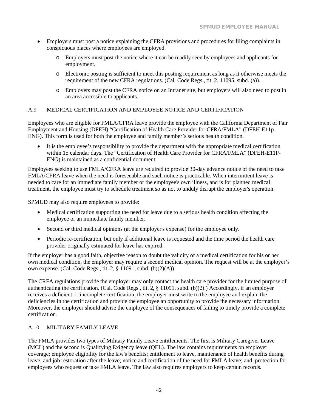- Employers must post a notice explaining the CFRA provisions and procedures for filing complaints in conspicuous places where employees are employed.
	- o Employers must post the notice where it can be readily seen by employees and applicants for employment.
	- o Electronic posting is sufficient to meet this posting requirement as long as it otherwise meets the requirement of the new CFRA regulations. (Cal. Code Regs., tit, 2, 11095, subd. (a)).
	- o Employers may post the CFRA notice on an Intranet site, but employers will also need to post in an area accessible to applicants.

#### <span id="page-45-0"></span>A.9 MEDICAL CERTIFICATION AND EMPLOYEE NOTICE AND CERTIFICATION

Employees who are eligible for FMLA/CFRA leave provide the employee with the California Department of Fair Employment and Housing (DFEH) "Certification of Health Care Provider for CFRA/FMLA" (DFEH-E11p-ENG). This form is used for both the employee and family member's serious health condition.

• It is the employee's responsibility to provide the department with the appropriate medical certification within 15 calendar days. The "Certification of Health Care Provider for CFRA/FMLA" (DFEH-E11P-ENG) is maintained as a confidential document.

Employees seeking to use FMLA/CFRA leave are required to provide 30-day advance notice of the need to take FMLA/CFRA leave when the need is foreseeable and such notice is practicable. When intermittent leave is needed to care for an immediate family member or the employee's own illness, and is for planned medical treatment, the employee must try to schedule treatment so as not to unduly disrupt the employer's operation.

SPMUD may also require employees to provide:

- Medical certification supporting the need for leave due to a serious health condition affecting the employee or an immediate family member.
- Second or third medical opinions (at the employer's expense) for the employee only.
- Periodic re-certification, but only if additional leave is requested and the time period the health care provider originally estimated for leave has expired.

If the employer has a good faith, objective reason to doubt the validity of a medical certification for his or her own medical condition, the employer may require a second medical opinion. The request will be at the employer's own expense. (Cal. Code Regs., tit. 2, § 11091, subd. (b)(2)(A)).

The CRFA regulations provide the employer may only contact the health care provider for the limited purpose of authenticating the certification. (Cal. Code Regs., tit. 2, § 11091, subd. (b)(2).) Accordingly, if an employer receives a deficient or incomplete certification, the employer must write to the employee and explain the deficiencies in the certification and provide the employee an opportunity to provide the necessary information. Moreover, the employer should advise the employee of the consequences of failing to timely provide a complete certification.

#### <span id="page-45-1"></span>A.10 MILITARY FAMILY LEAVE

The FMLA provides two types of Military Family Leave entitlements. The first is Military Caregiver Leave (MCL) and the second is Qualifying Exigency leave (QEL). The law contains requirements on employer coverage; employee eligibility for the law's benefits; entitlement to leave, maintenance of health benefits during leave, and job restoration after the leave; notice and certification of the need for FMLA leave; and, protection for employees who request or take FMLA leave. The law also requires employers to keep certain records.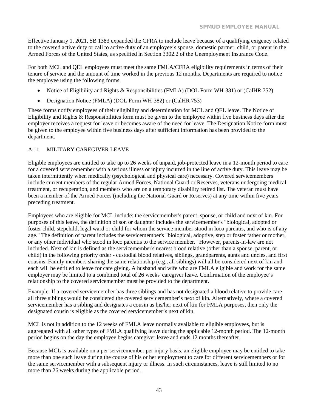Effective January 1, 2021, SB 1383 expanded the CFRA to include leave because of a qualifying exigency related to the covered active duty or call to active duty of an employee's spouse, domestic partner, child, or parent in the Armed Forces of the United States, as specified in Section 3302.2 of the Unemployment Insurance Code.

For both MCL and QEL employees must meet the same FMLA/CFRA eligibility requirements in terms of their tenure of service and the amount of time worked in the previous 12 months. Departments are required to notice the employee using the following forms:

- Notice of Eligibility and Rights & Responsibilities (FMLA) (DOL Form WH-381) or (CalHR 752)
- Designation Notice (FMLA) (DOL Form WH-382) or (CalHR 753)

These forms notify employees of their eligibility and determination for MCL and QEL leave. The Notice of Eligibility and Rights & Responsibilities form must be given to the employee within five business days after the employer receives a request for leave or becomes aware of the need for leave. The Designation Notice form must be given to the employee within five business days after sufficient information has been provided to the department.

#### A.11 MILITARY CAREGIVER LEAVE

Eligible employees are entitled to take up to 26 weeks of unpaid, job-protected leave in a 12-month period to care for a covered servicemember with a serious illness or injury incurred in the line of active duty. This leave may be taken intermittently when medically (psychological and physical care) necessary. Covered servicemembers include current members of the regular Armed Forces, National Guard or Reserves, veterans undergoing medical treatment, or recuperation, and members who are on a temporary disability retired list. The veteran must have been a member of the Armed Forces (including the National Guard or Reserves) at any time within five years preceding treatment.

Employees who are eligible for MCL include: the servicemember's parent, spouse, or child and next of kin. For purposes of this leave, the definition of son or daughter includes the servicemember's "biological, adopted or foster child, stepchild, legal ward or child for whom the service member stood in loco parentis, and who is of any age." The definition of parent includes the servicemember's "biological, adoptive, step or foster father or mother, or any other individual who stood in loco parentis to the service member." However, parents-in-law are not included. Next of kin is defined as the servicemember's nearest blood relative (other than a spouse, parent, or child) in the following priority order - custodial blood relatives, siblings, grandparents, aunts and uncles, and first cousins. Family members sharing the same relationship (e.g., all siblings) will all be considered next of kin and each will be entitled to leave for care giving. A husband and wife who are FMLA eligible and work for the same employer may be limited to a combined total of 26 weeks' caregiver leave. Confirmation of the employee's relationship to the covered servicemember must be provided to the department.

Example: If a covered servicemember has three siblings and has not designated a blood relative to provide care, all three siblings would be considered the covered servicemember's next of kin. Alternatively, where a covered servicemember has a sibling and designates a cousin as his/her next of kin for FMLA purposes, then only the designated cousin is eligible as the covered servicemember's next of kin.

MCL is not in addition to the 12 weeks of FMLA leave normally available to eligible employees, but is aggregated with all other types of FMLA qualifying leave during the applicable 12-month period. The 12-month period begins on the day the employee begins caregiver leave and ends 12 months thereafter.

Because MCL is available on a per servicemember per injury basis, an eligible employee may be entitled to take more than one such leave during the course of his or her employment to care for different servicemembers or for the same servicemember with a subsequent injury or illness. In such circumstances, leave is still limited to no more than 26 weeks during the applicable period.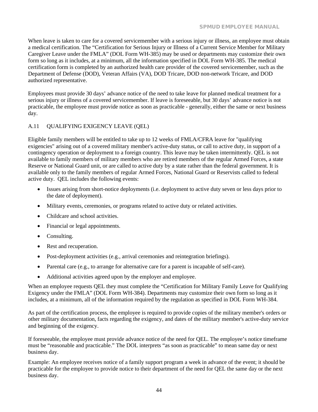When leave is taken to care for a covered servicemember with a serious injury or illness, an employee must obtain a medical certification. The "Certification for Serious Injury or Illness of a Current Service Member for Military Caregiver Leave under the FMLA" (DOL Form WH-385) may be used or departments may customize their own form so long as it includes, at a minimum, all the information specified in DOL Form WH-385. The medical certification form is completed by an authorized health care provider of the covered servicemember, such as the Department of Defense (DOD), Veteran Affairs (VA), DOD Tricare, DOD non-network Tricare, and DOD authorized representative.

Employees must provide 30 days' advance notice of the need to take leave for planned medical treatment for a serious injury or illness of a covered servicemember. If leave is foreseeable, but 30 days' advance notice is not practicable, the employee must provide notice as soon as practicable - generally, either the same or next business day.

#### <span id="page-47-0"></span>A.11 QUALIFYING EXIGENCY LEAVE (QEL)

Eligible family members will be entitled to take up to 12 weeks of FMLA/CFRA leave for "qualifying exigencies" arising out of a covered military member's active-duty status, or call to active duty, in support of a contingency operation or deployment to a foreign country. This leave may be taken intermittently. QEL is not available to family members of military members who are retired members of the regular Armed Forces, a state Reserve or National Guard unit, or are called to active duty by a state rather than the federal government. It is available only to the family members of regular Armed Forces, National Guard or Reservists called to federal active duty. QEL includes the following events:

- Issues arising from short-notice deployments (i.e. deployment to active duty seven or less days prior to the date of deployment).
- Military events, ceremonies, or programs related to active duty or related activities.
- Childcare and school activities.
- Financial or legal appointments.
- Consulting.
- Rest and recuperation.
- Post-deployment activities (e.g., arrival ceremonies and reintegration briefings).
- Parental care (e.g., to arrange for alternative care for a parent is incapable of self-care).
- Additional activities agreed upon by the employer and employee.

When an employee requests QEL they must complete the "Certification for Military Family Leave for Qualifying Exigency under the FMLA" (DOL Form WH-384). Departments may customize their own form so long as it includes, at a minimum, all of the information required by the regulation as specified in DOL Form WH-384.

As part of the certification process, the employee is required to provide copies of the military member's orders or other military documentation, facts regarding the exigency, and dates of the military member's active-duty service and beginning of the exigency.

If foreseeable, the employee must provide advance notice of the need for QEL. The employee's notice timeframe must be "reasonable and practicable." The DOL interprets "as soon as practicable" to mean same day or next business day.

Example: An employee receives notice of a family support program a week in advance of the event; it should be practicable for the employee to provide notice to their department of the need for QEL the same day or the next business day.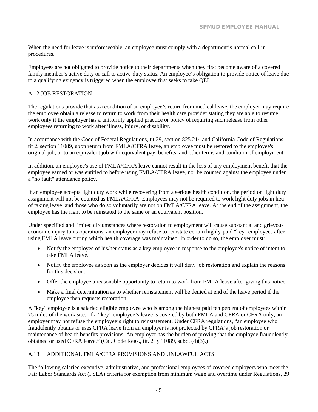When the need for leave is unforeseeable, an employee must comply with a department's normal call-in procedures.

Employees are not obligated to provide notice to their departments when they first become aware of a covered family member's active duty or call to active-duty status. An employee's obligation to provide notice of leave due to a qualifying exigency is triggered when the employee first seeks to take QEL.

#### <span id="page-48-0"></span>A.12 JOB RESTORATION

The regulations provide that as a condition of an employee's return from medical leave, the employer may require the employee obtain a release to return to work from their health care provider stating they are able to resume work only if the employer has a uniformly applied practice or policy of requiring such release from other employees returning to work after illness, injury, or disability.

In accordance with the Code of Federal Regulations, tit 29, section 825.214 and California Code of Regulations, tit 2, section 11089, upon return from FMLA/CFRA leave, an employee must be restored to the employee's original job, or to an equivalent job with equivalent pay, benefits, and other terms and condition of employment.

In addition, an employee's use of FMLA/CFRA leave cannot result in the loss of any employment benefit that the employee earned or was entitled to before using FMLA/CFRA leave, nor be counted against the employee under a "no fault" attendance policy.

If an employee accepts light duty work while recovering from a serious health condition, the period on light duty assignment will not be counted as FMLA/CFRA. Employees may not be required to work light duty jobs in lieu of taking leave, and those who do so voluntarily are not on FMLA/CFRA leave. At the end of the assignment, the employee has the right to be reinstated to the same or an equivalent position.

Under specified and limited circumstances where restoration to employment will cause substantial and grievous economic injury to its operations, an employer may refuse to reinstate certain highly-paid "key" employees after using FMLA leave during which health coverage was maintained. In order to do so, the employer must:

- Notify the employee of his/her status as a key employee in response to the employee's notice of intent to take FMLA leave.
- Notify the employee as soon as the employer decides it will deny job restoration and explain the reasons for this decision.
- Offer the employee a reasonable opportunity to return to work from FMLA leave after giving this notice.
- Make a final determination as to whether reinstatement will be denied at end of the leave period if the employee then requests restoration.

A "key" employee is a salaried eligible employee who is among the highest paid ten percent of employees within 75 miles of the work site. If a "key" employee's leave is covered by both FMLA and CFRA or CFRA only, an employer may not refuse the employee's right to reinstatement. Under CFRA regulations, "an employee who fraudulently obtains or uses CFRA leave from an employer is not protected by CFRA's job restoration or maintenance of health benefits provisions. An employer has the burden of proving that the employee fraudulently obtained or used CFRA leave." (Cal. Code Regs., tit. 2,  $\S$  11089, subd. (d)(3).)

#### <span id="page-48-1"></span>A.13 ADDITIONAL FMLA/CFRA PROVISIONS AND UNLAWFUL ACTS

The following salaried executive, administrative, and professional employees of covered employers who meet the Fair Labor Standards Act (FSLA) criteria for exemption from minimum wage and overtime under Regulations, 29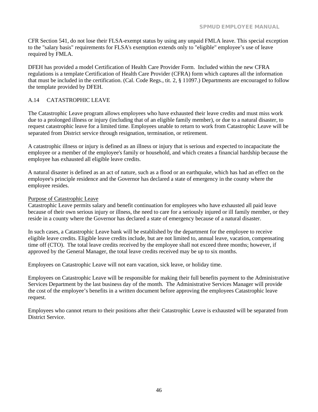CFR Section 541, do not lose their FLSA-exempt status by using any unpaid FMLA leave. This special exception to the "salary basis" requirements for FLSA's exemption extends only to "eligible" employee's use of leave required by FMLA.

DFEH has provided a model Certification of Health Care Provider Form. Included within the new CFRA regulations is a template Certification of Health Care Provider (CFRA) form which captures all the information that must be included in the certification. (Cal. Code Regs., tit. 2, § 11097.) Departments are encouraged to follow the template provided by DFEH.

#### <span id="page-49-0"></span>A.14 CATASTROPHIC LEAVE

The Catastrophic Leave program allows employees who have exhausted their leave credits and must miss work due to a prolonged illness or injury (including that of an eligible family member), or due to a natural disaster, to request catastrophic leave for a limited time. Employees unable to return to work from Catastrophic Leave will be separated from District service through resignation, termination, or retirement.

A catastrophic illness or injury is defined as an illness or injury that is serious and expected to incapacitate the employee or a member of the employee's family or household, and which creates a financial hardship because the employee has exhausted all eligible leave credits.

A natural disaster is defined as an act of nature, such as a flood or an earthquake, which has had an effect on the employee's principle residence and the Governor has declared a state of emergency in the county where the employee resides.

#### Purpose of Catastrophic Leave

Catastrophic Leave permits salary and benefit continuation for employees who have exhausted all paid leave because of their own serious injury or illness, the need to care for a seriously injured or ill family member, or they reside in a county where the Governor has declared a state of emergency because of a natural disaster.

In such cases, a Catastrophic Leave bank will be established by the department for the employee to receive eligible leave credits. Eligible leave credits include, but are not limited to, annual leave, vacation, compensating time off (CTO). The total leave credits received by the employee shall not exceed three months; however, if approved by the General Manager, the total leave credits received may be up to six months.

Employees on Catastrophic Leave will not earn vacation, sick leave, or holiday time.

Employees on Catastrophic Leave will be responsible for making their full benefits payment to the Administrative Services Department by the last business day of the month. The Administrative Services Manager will provide the cost of the employee's benefits in a written document before approving the employees Catastrophic leave request.

Employees who cannot return to their positions after their Catastrophic Leave is exhausted will be separated from District Service.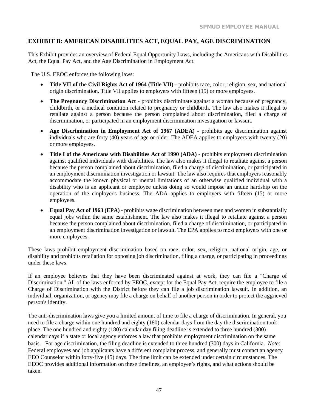### <span id="page-50-0"></span>**EXHIBIT B: AMERICAN DISABILITIES ACT, EQUAL PAY, AGE DISCRIMINATION**

This Exhibit provides an overview of Federal Equal Opportunity Laws, including the Americans with Disabilities Act, the Equal Pay Act, and the Age Discrimination in Employment Act.

The U.S. EEOC enforces the following laws:

- **Title VII of the Civil Rights Act of 1964 (Title VII)**  prohibits race, color, religion, sex, and national origin discrimination. Title VII applies to employers with fifteen (15) or more employees.
- **The Pregnancy Discrimination Act** prohibits discriminate against a woman because of pregnancy, childbirth, or a medical condition related to pregnancy or childbirth. The law also makes it illegal to retaliate against a person because the person complained about discrimination, filed a charge of discrimination, or participated in an employment discrimination investigation or lawsuit.
- **Age Discrimination in Employment Act of 1967 (ADEA)**  prohibits age discrimination against individuals who are forty (40) years of age or older. The ADEA applies to employers with twenty (20) or more employees.
- **Title I of the Americans with Disabilities Act of 1990 (ADA)**  prohibits employment discrimination against qualified individuals with disabilities. The law also makes it illegal to retaliate against a person because the person complained about discrimination, filed a charge of discrimination, or participated in an employment discrimination investigation or lawsuit. The law also requires that employers reasonably accommodate the known physical or mental limitations of an otherwise qualified individual with a disability who is an applicant or employee unless doing so would impose an undue hardship on the operation of the employer's business. The ADA applies to employers with fifteen (15) or more employees.
- **Equal Pay Act of 1963 (EPA)**  prohibits wage discrimination between men and women in substantially equal jobs within the same establishment. The law also makes it illegal to retaliate against a person because the person complained about discrimination, filed a charge of discrimination, or participated in an employment discrimination investigation or lawsuit. The EPA applies to most employers with one or more employees.

These laws prohibit employment discrimination based on race, color, sex, religion, national origin, age, or disability and prohibits retaliation for opposing job discrimination, filing a charge, or participating in proceedings under these laws.

If an employee believes that they have been discriminated against at work, they can [file a "Charge of](https://www.eeoc.gov/employees/charge.cfm) [Discrimination."](https://www.eeoc.gov/employees/charge.cfm) All of the laws enforced by EEOC, except for the Equal Pay Act, require the employee to file a Charge of Discrimination with the District before they can [file a job discrimination lawsuit.](https://www.eeoc.gov/employees/lawsuit.cfm) In addition, an individual, organization, or agency may file a charge on behalf of another person in order to protect the aggrieved person's identity.

The anti-discrimination laws give you a limited amount of time to file a charge of discrimination. In general, you need to file a charge within one hundred and eighty (180) calendar days from the day the discrimination took place. The one hundred and eighty (180) calendar day filing deadline is extended to three hundred (300) calendar days if a state or local agency enforces a law that prohibits employment discrimination on the same basis. For age discrimination, the filing deadline is extended to three hundred (300) days in California. *Note*: Federal employees and job applicants have [a different complaint process,](https://www.eeoc.gov/federal/fed_employees/complaint_overview.cfm) and generally mus[t contact](https://www.eeoc.gov/federal/fed_employees/counselor.cfm) [an agency](https://www.eeoc.gov/federal/fed_employees/counselor.cfm)  [EEO Counselor](https://www.eeoc.gov/federal/fed_employees/counselor.cfm) within forty-five (45) days. The time limit can be extended under certain circumstances. The EEOC provides additional information on these timelines, an employee's rights, and what actions should be taken.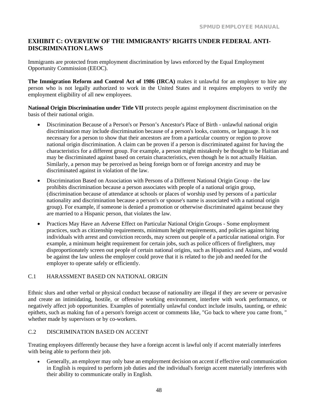### <span id="page-52-0"></span>**EXHIBIT C: OVERVIEW OF THE IMMIGRANTS' RIGHTS UNDER FEDERAL ANTI-DISCRIMINATION LAWS**

Immigrants are protected from employment discrimination by laws enforced by the Equal Employment Opportunity Commission (EEOC).

**The Immigration Reform and Control Act of 1986 (IRCA)** makes it unlawful for an employer to hire any person who is not legally authorized to work in the United States and it requires employers to verify the employment eligibility of all new employees.

**National Origin Discrimination under Title VII** protects people against employment discrimination on the basis of their national origin.

- Discrimination Because of a Person's or Person's Ancestor's Place of Birth unlawful national origin discrimination may include discrimination because of a person's looks, customs, or language. It is not necessary for a person to show that their ancestors are from a particular country or region to prove national origin discrimination. A claim can be proven if a person is discriminated against for having the characteristics for a different group. For example, a person might mistakenly be thought to be Haitian and may be discriminated against based on certain characteristics, even though he is not actually Haitian. Similarly, a person may be perceived as being foreign born or of foreign ancestry and may be discriminated against in violation of the law.
- Discrimination Based on Association with Persons of a Different National Origin Group the law prohibits discrimination because a person associates with people of a national origin group, (discrimination because of attendance at schools or places of worship used by persons of a particular nationality and discrimination because a person's or spouse's name is associated with a national origin group). For example, if someone is denied a promotion or otherwise discriminated against because they are married to a Hispanic person, that violates the law.
- Practices May Have an Adverse Effect on Particular National Origin Groups Some employment practices, such as citizenship requirements, minimum height requirements, and policies against hiring individuals with arrest and conviction records, may screen out people of a particular national origin. For example, a minimum height requirement for certain jobs, such as police officers of firefighters, may disproportionately screen out people of certain national origins, such as Hispanics and Asians, and would be against the law unless the employer could prove that it is related to the job and needed for the employer to operate safely or efficiently.

#### <span id="page-52-1"></span>C.1 HARASSMENT BASED ON NATIONAL ORIGIN

Ethnic slurs and other verbal or physical conduct because of nationality are illegal if they are severe or pervasive and create an intimidating, hostile, or offensive working environment, interfere with work performance, or negatively affect job opportunities. Examples of potentially unlawful conduct include insults, taunting, or ethnic epithets, such as making fun of a person's foreign accent or comments like, "Go back to where you came from, " whether made by supervisors or by co-workers.

#### <span id="page-52-2"></span>C.2 DISCRIMINATION BASED ON ACCENT

Treating employees differently because they have a foreign accent is lawful only if accent materially interferes with being able to perform their job.

• Generally, an employer may only base an employment decision on accent if effective oral communication in English is required to perform job duties and the individual's foreign accent materially interferes with their ability to communicate orally in English.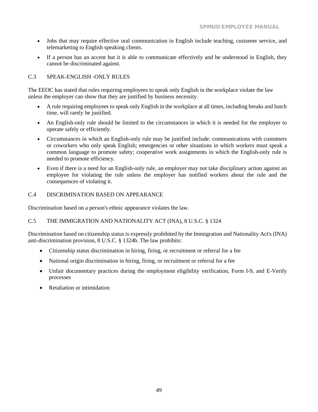- Jobs that may require effective oral communication in English include teaching, customer service, and telemarketing to English speaking clients.
- If a person has an accent but it is able to communicate effectively and be understood in English, they cannot be discriminated against.

#### <span id="page-53-0"></span>C.3 SPEAK-ENGLISH -ONLY RULES

The EEOC has stated that rules requiring employees to speak only English in the workplace violate the law unless the employer can show that they are justified by business necessity.

- A rule requiring employees to speak only English in the workplace at all times, including breaks and lunch time, will rarely be justified.
- An English-only rule should be limited to the circumstances in which it is needed for the employer to operate safely or efficiently.
- Circumstances in which an English-only rule may be justified include: communications with customers or coworkers who only speak English; emergencies or other situations in which workers must speak a common language to promote safety; cooperative work assignments in which the English-only rule is needed to promote efficiency.
- Even if there is a need for an English-only rule, an employer may not take disciplinary action against an employee for violating the rule unless the employer has notified workers about the rule and the consequences of violating it.

#### <span id="page-53-1"></span>C.4 DISCRIMINATION BASED ON APPEARANCE

Discrimination based on a person's ethnic appearance violates the law.

#### <span id="page-53-2"></span>C.5 THE IMMIGRATION AND NATIONALITY ACT (INA), 8 U.S.C. § 1324

Discrimination based on citizenship status is expressly prohibited by the Immigration and Nationality Act's (INA) anti-discrimination provision, 8 U.S.C. § 1324b. The law prohibits:

- Citizenship status discrimination in hiring, firing, or recruitment or referral for a fee
- National origin discrimination in hiring, firing, or recruitment or referral for a fee
- Unfair documentary practices during the employment eligibility verification, Form I-9, and E-Verify processes
- Retaliation or intimidation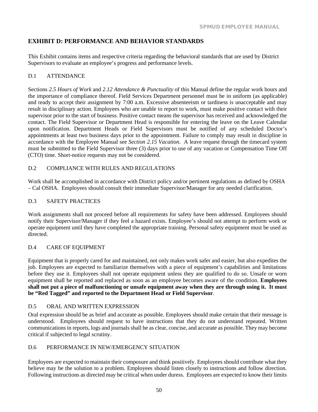### <span id="page-54-0"></span>**EXHIBIT D: PERFORMANCE AND BEHAVIOR STANDARDS**

This Exhibit contains items and respective criteria regarding the behavioral standards that are used by District Supervisors to evaluate an employee's progress and performance levels.

#### <span id="page-54-1"></span>D.1 ATTENDANCE

Sections *2.5 Hours of Work* and *2.12 Attendance & Punctuality* of this Manual define the regular work hours and the importance of compliance thereof. Field Services Department personnel must be in uniform (as applicable) and ready to accept their assignment by 7:00 a.m. Excessive absenteeism or tardiness is unacceptable and may result in disciplinary action. Employees who are unable to report to work, must make positive contact with their supervisor prior to the start of business. Positive contact means the supervisor has received and acknowledged the contact. The Field Supervisor or Department Head is responsible for entering the leave on the Leave Calendar upon notification. Department Heads or Field Supervisors must be notified of any scheduled Doctor's appointments at least two business days prior to the appointment. Failure to comply may result in discipline in accordance with the Employee Manual see *Section 2.15 Vacation*. A leave request through the timecard system must be submitted to the Field Supervisor three (3) days prior to use of any vacation or Compensation Time Off (CTO) time. Short-notice requests may not be considered.

#### <span id="page-54-2"></span>D.2 COMPLIANCE WITH RULES AND REGULATIONS

Work shall be accomplished in accordance with District policy and/or pertinent regulations as defined by OSHA – Cal OSHA. Employees should consult their immediate Supervisor/Manager for any needed clarification.

#### <span id="page-54-3"></span>D.3 SAFETY PRACTICES

Work assignments shall not proceed before all requirements for safety have been addressed. Employees should notify their Supervisor/Manager if they feel a hazard exists. Employee's should not attempt to perform work or operate equipment until they have completed the appropriate training. Personal safety equipment must be used as directed.

#### <span id="page-54-4"></span>D.4 CARE OF EQUIPMENT

Equipment that is properly cared for and maintained, not only makes work safer and easier, but also expedites the job. Employees are expected to familiarize themselves with a piece of equipment's capabilities and limitations before they use it. Employees shall not operate equipment unless they are qualified to do so. Unsafe or worn equipment shall be reported and replaced as soon as an employee becomes aware of the condition. **Employees shall not put a piece of malfunctioning or unsafe equipment away when they are through using it. It must be "Red Tagged" and reported to the Department Head or Field Supervisor**.

#### <span id="page-54-5"></span>D.5 ORAL AND WRITTEN EXPRESSION

Oral expression should be as brief and accurate as possible. Employees should make certain that their message is understood. Employees should request to have instructions that they do not understand repeated. Written communications in reports, logs and journals shall be as clear, concise, and accurate as possible. They may become critical if subjected to legal scrutiny.

#### <span id="page-54-6"></span>D.6 PERFORMANCE IN NEW/EMERGENCY SITUATION

Employees are expected to maintain their composure and think positively. Employees should contribute what they believe may be the solution to a problem. Employees should listen closely to instructions and follow direction. Following instructions as directed may be critical when under duress. Employees are expected to know their limits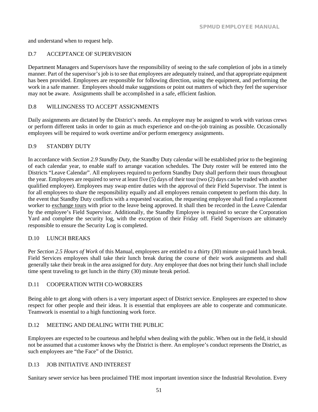and understand when to request help.

#### <span id="page-55-0"></span>D.7 ACCEPTANCE OF SUPERVISION

Department Managers and Supervisors have the responsibility of seeing to the safe completion of jobs in a timely manner. Part of the supervisor's job is to see that employees are adequately trained, and that appropriate equipment has been provided. Employees are responsible for following direction, using the equipment, and performing the work in a safe manner. Employees should make suggestions or point out matters of which they feel the supervisor may not be aware. Assignments shall be accomplished in a safe, efficient fashion.

#### <span id="page-55-1"></span>D.8 WILLINGNESS TO ACCEPT ASSIGNMENTS

Daily assignments are dictated by the District's needs. An employee may be assigned to work with various crews or perform different tasks in order to gain as much experience and on-the-job training as possible. Occasionally employees will be required to work overtime and/or perform emergency assignments.

#### <span id="page-55-2"></span>D.9 STANDBY DUTY

In accordance with *Section 2.9 Standby Duty*, the Standby Duty calendar will be established prior to the beginning of each calendar year, to enable staff to arrange vacation schedules. The Duty roster will be entered into the Districts "Leave Calendar". All employees required to perform Standby Duty shall perform their tours throughout the year. Employees are required to serve at least five (5) days of their tour (two (2) days can be traded with another qualified employee). Employees may swap entire duties with the approval of their Field Supervisor. The intent is for all employees to share the responsibility equally and all employees remain competent to perform this duty. In the event that Standby Duty conflicts with a requested vacation, the requesting employee shall find a replacement worker to exchange tours with prior to the leave being approved. It shall then be recorded in the Leave Calendar by the employee's Field Supervisor. Additionally, the Standby Employee is required to secure the Corporation Yard and complete the security log, with the exception of their Friday off. Field Supervisors are ultimately responsible to ensure the Security Log is completed.

#### <span id="page-55-3"></span>D.10 LUNCH BREAKS

Per *Section 2.5 Hours of Work* of this Manual, employees are entitled to a thirty (30) minute un-paid lunch break. Field Services employees shall take their lunch break during the course of their work assignments and shall generally take their break in the area assigned for duty. Any employee that does not bring their lunch shall include time spent traveling to get lunch in the thirty (30) minute break period.

#### <span id="page-55-4"></span>D.11 COOPERATION WITH CO-WORKERS

Being able to get along with others is a very important aspect of District service. Employees are expected to show respect for other people and their ideas. It is essential that employees are able to cooperate and communicate. Teamwork is essential to a high functioning work force.

#### <span id="page-55-5"></span>D.12 MEETING AND DEALING WITH THE PUBLIC

Employees are expected to be courteous and helpful when dealing with the public. When out in the field, it should not be assumed that a customer knows why the District is there. An employee's conduct represents the District, as such employees are "the Face" of the District.

#### <span id="page-55-6"></span>D.13 JOB INITIATIVE AND INTEREST

Sanitary sewer service has been proclaimed THE most important invention since the Industrial Revolution. Every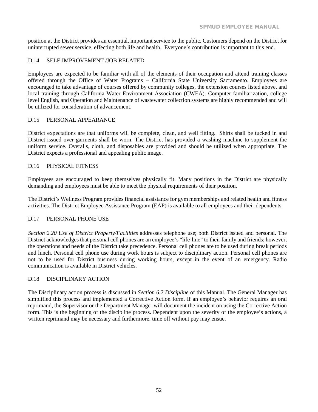position at the District provides an essential, important service to the public. Customers depend on the District for uninterrupted sewer service, effecting both life and health. Everyone's contribution is important to this end.

#### <span id="page-56-0"></span>D.14 SELF-IMPROVEMENT /JOB RELATED

Employees are expected to be familiar with all of the elements of their occupation and attend training classes offered through the Office of Water Programs – California State University Sacramento. Employees are encouraged to take advantage of courses offered by community colleges, the extension courses listed above, and local training through California Water Environment Association (CWEA). Computer familiarization, college level English, and Operation and Maintenance of wastewater collection systems are highly recommended and will be utilized for consideration of advancement.

#### <span id="page-56-1"></span>D.15 PERSONAL APPEARANCE

District expectations are that uniforms will be complete, clean, and well fitting. Shirts shall be tucked in and District-issued over garments shall be worn. The District has provided a washing machine to supplement the uniform service. Overalls, cloth, and disposables are provided and should be utilized when appropriate. The District expects a professional and appealing public image.

#### <span id="page-56-2"></span>D.16 PHYSICAL FITNESS

Employees are encouraged to keep themselves physically fit. Many positions in the District are physically demanding and employees must be able to meet the physical requirements of their position.

The District's Wellness Program provides financial assistance for gym memberships and related health and fitness activities. The District Employee Assistance Program (EAP) is available to all employees and their dependents.

#### <span id="page-56-3"></span>D.17 PERSONAL PHONE USE

*Section 2.20 Use of District Property/Facilities* addresses telephone use; both District issued and personal. The District acknowledges that personal cell phones are an employee's "life-line" to their family and friends; however, the operations and needs of the District take precedence. Personal cell phones are to be used during break periods and lunch. Personal cell phone use during work hours is subject to disciplinary action. Personal cell phones are not to be used for District business during working hours, except in the event of an emergency. Radio communication is available in District vehicles.

#### <span id="page-56-4"></span>D.18 DISCIPLINARY ACTION

The Disciplinary action process is discussed in *Section 6.2 Discipline* of this Manual. The General Manager has simplified this process and implemented a Corrective Action form. If an employee's behavior requires an oral reprimand, the Supervisor or the Department Manager will document the incident on using the Corrective Action form. This is the beginning of the discipline process. Dependent upon the severity of the employee's actions, a written reprimand may be necessary and furthermore, time off without pay may ensue.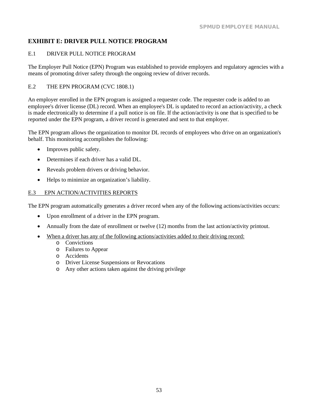### <span id="page-58-0"></span>**EXHIBIT E: DRIVER PULL NOTICE PROGRAM**

#### <span id="page-58-1"></span>E.1 DRIVER PULL NOTICE PROGRAM

The Employer Pull Notice (EPN) Program was established to provide employers and regulatory agencies with a means of promoting driver safety through the ongoing review of [driver records.](http://www.dmv.ca.gov/vehindustry/epn/epngeninfo.htm#dlrecord)

#### <span id="page-58-2"></span>E.2 THE EPN PROGRAM [\(CVC 1808.1\)](http://www.dmv.ca.gov/pubs/vctop/d02/vc1808_1.htm)

An employer enrolled in the EPN program is assigned a [requester code.](http://www.dmv.ca.gov/vehindustry/epn/epngeninfo.htm#reqcode) The requester code is added to an employee's [driver license \(DL\) record.](http://www.dmv.ca.gov/vehindustry/epn/epngeninfo.htm#dlrecord) When an employee's DL is updated to record a[n action/activity,](http://www.dmv.ca.gov/vehindustry/epn/epngeninfo.htm#reports) a check is made electronically to determine if a pull notice is on file. If the action/activity is one that is specified to be reported under the EPN program, a driver record is generated and sent to that employer.

The EPN program allows the organization to monitor DL records of employees who drive on an organization's behalf. This monitoring accomplishes the following:

- Improves public safety.
- Determines if each driver has a valid DL.
- Reveals problem drivers or driving behavior.
- Helps to minimize an organization's liability.

#### <span id="page-58-3"></span>E.3 EPN ACTION/ACTIVITIES REPORTS

The EPN program automatically [generates a driver record](http://www.dmv.ca.gov/vehindustry/epn/epngeninfo.htm#genrecord) when any of the following actions/activities occurs:

- Upon enrollment of a driver in the EPN program.
- Annually from the date of enrollment or twelve (12) months from the last action/activity printout.
- When a driver has any of the following actions/activities added to their driving record:
	- o Convictions
	- o Failures to Appear
	- o Accidents
	- o Driver License Suspensions or Revocations
	- o Any other actions taken against the driving privilege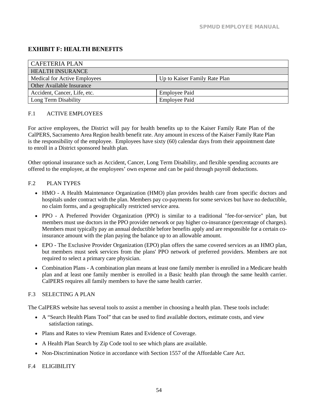### <span id="page-60-0"></span>**EXHIBIT F: HEALTH BENEFITS**

| <b>CAFETERIA PLAN</b>                                         |  |  |
|---------------------------------------------------------------|--|--|
| <b>HEALTH INSURANCE</b>                                       |  |  |
| Medical for Active Employees<br>Up to Kaiser Family Rate Plan |  |  |
| <b>Other Available Insurance</b>                              |  |  |
| Accident, Cancer, Life, etc.<br><b>Employee Paid</b>          |  |  |
| Long Term Disability<br><b>Employee Paid</b>                  |  |  |

#### <span id="page-60-1"></span>F.1 ACTIVE EMPLOYEES

For active employees, the District will pay for health benefits up to the Kaiser Family Rate Plan of the CalPERS, Sacramento Area Region health benefit rate. Any amount in excess of the Kaiser Family Rate Plan is the responsibility of the employee. Employees have sixty (60) calendar days from their appointment date to enroll in a District sponsored health plan.

Other optional insurance such as Accident, Cancer, Long Term Disability, and flexible spending accounts are offered to the employee, at the employees' own expense and can be paid through payroll deductions.

#### <span id="page-60-2"></span>F.2 PLAN TYPES

- HMO A Health Maintenance Organization (HMO) plan provides health care from specific doctors and hospitals under contract with the plan. Members pay co-payments for some services but have no deductible, no claim forms, and a geographically restricted service area.
- PPO A Preferred Provider Organization (PPO) is similar to a traditional "fee-for-service" plan, but members must use doctors in the PPO provider network or pay higher co-insurance (percentage of charges). Members must typically pay an annual deductible before benefits apply and are responsible for a certain coinsurance amount with the plan paying the balance up to an allowable amount.
- EPO The Exclusive Provider Organization (EPO) plan offers the same covered services as an HMO plan, but members must seek services from the plans' PPO network of preferred providers. Members are not required to select a primary care physician.
- Combination Plans A combination plan means at least one family member is enrolled in a Medicare health plan and at least one family member is enrolled in a Basic health plan through the same health carrier. CalPERS requires all family members to have the same health carrier.

#### <span id="page-60-3"></span>F.3 SELECTING A PLAN

The CalPERS website has several tools to assist a member in choosing a health plan. These tools include:

- A "Search [Health Plans Tool"](http://calpers.chooser.pbgh.org/) that can be used to find available doctors, estimate costs, and view satisfaction ratings.
- Plans and Rates to view Premium Rates and Evidence of Coverage.
- A Health Plan Search by Zip Code tool to see which plans are available.
- [Non-Discrimination Notice](https://www.calpers.ca.gov/docs/non-discrimination-notice.pdf) in accordance with Section 1557 of the Affordable Care Act.

#### <span id="page-60-4"></span>F.4 ELIGIBILITY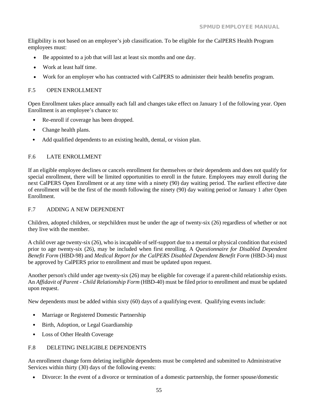Eligibility is not based on an employee's job classification. To be eligible for the CalPERS Health Program employees must:

- Be appointed to a job that will last at least six months and one day.
- Work at least half time.
- Work for an employer who has contracted with CalPERS to administer their health benefits program.

#### <span id="page-61-0"></span>F.5 OPEN ENROLLMENT

Open Enrollment takes place annually each fall and changes take effect on January 1 of the following year. Open Enrollment is an employee's chance to:

- Re-enroll if coverage has been dropped.
- Change health plans.
- Add qualified dependents to an existing health, dental, or vision plan.

#### <span id="page-61-1"></span>F.6 LATE ENROLLMENT

If an eligible employee declines or cancels enrollment for themselves or their dependents and does not qualify for special enrollment, there will be limited opportunities to enroll in the future. Employees may enroll during the next CalPERS Open Enrollment or at any time with a ninety (90) day waiting period. The earliest effective date of enrollment will be the first of the month following the ninety (90) day waiting period or January 1 after Open Enrollment.

#### <span id="page-61-2"></span>F.7 ADDING A NEW DEPENDENT

Children, adopted children, or stepchildren must be under the age of twenty-six (26) regardless of whether or not they live with the member.

A child over age twenty-six (26), who is incapable of self-support due to a mental or physical condition that existed prior to age twenty-six (26), may be included when first enrolling. A *Questionnaire for Disabled Dependent Benefit Form* (HBD-98) and *Medical Report for the CalPERS Disabled Dependent Benefit Form* (HBD-34) must be approved by CalPERS prior to enrollment and must be updated upon request.

Another person's child under age twenty-six (26) may be eligible for coverage if a parent-child relationship exists. An *Affidavit of Parent - [Child Relationship Form](http://www.calpers.ca.gov/mss-pub/SearchController?viewpackage=action&PageId=SearchCatalog&package_code=1841)* (HBD-40) must be filed prior to enrollment and must be updated upon request.

New dependents must be added within sixty (60) days of a qualifying event. Qualifying events include:

- Marriage or Registered Domestic Partnership
- Birth, Adoption, or Legal Guardianship
- Loss of Other Health Coverage

#### <span id="page-61-3"></span>F.8 DELETING INELIGIBLE DEPENDENTS

An enrollment change form deleting ineligible dependents must be completed and submitted to Administrative Services within thirty (30) days of the following events:

• Divorce: In the event of a divorce or termination of a domestic partnership, the former spouse/domestic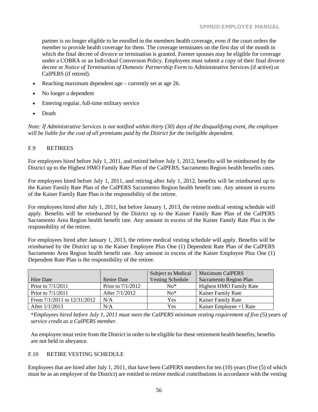partner is no longer eligible to be enrolled in the members health coverage, even if the court orders the member to provide health coverage for them. The coverage terminates on the first day of the month in which the final decree of divorce or termination is granted. Former spouses may be eligible for coverage under a COBRA or an Individual Conversion Policy. Employees must submit a copy of their final divorce decree or *Notice of Termination of Domestic Partnership Form* to Administrative Services (if active) or CalPERS (if retired).

- Reaching maximum dependent age currently set at age 26.
- No longer a dependent
- Entering regular, full-time military service
- Death

*Note: If Administrative Services is not notified within thirty (30) days of the disqualifying event, the employee will be liable for the cost of all premiums paid by the District for the ineligible dependent.*

#### <span id="page-62-0"></span>F.9 RETIREES

For employees hired before July 1, 2011, and retired before July 1, 2012, benefits will be reimbursed by the District up to the Highest HMO Family Rate Plan of the CalPERS, Sacramento Region health benefits rates.

For employees hired before July 1, 2011, and retiring after July 1, 2012, benefits will be reimbursed up to the Kaiser Family Rate Plan of the CalPERS Sacramento Region health benefit rate. Any amount in excess of the Kaiser Family Rate Plan is the responsibility of the retiree.

For employees hired after July 1, 2011, but before January 1, 2013, the retiree medical vesting schedule will apply. Benefits will be reimbursed by the District up to the Kaiser Family Rate Plan of the CalPERS Sacramento Area Region health benefit rate. Any amount in excess of the Kaiser Family Rate Plan is the responsibility of the retiree.

For employees hired after January 1, 2013, the retiree medical vesting schedule will apply. Benefits will be reimbursed by the District up to the Kaiser Employee Plus One (1) Dependent Rate Plan of the CalPERS Sacramento Area Region health benefit rate. Any amount in excess of the Kaiser Employee Plus One (1) Dependent Rate Plan is the responsibility of the retiree.

|                                 |                    | Subject to Medical      | <b>Maximum CalPERS</b>         |
|---------------------------------|--------------------|-------------------------|--------------------------------|
| Hire Date                       | <b>Retire Date</b> | <b>Vesting Schedule</b> | Sacramento Region Plan         |
| Prior to $7/1/2011$             | Prior to 7/1/2012  | $No*$                   | <b>Highest HMO Family Rate</b> |
| Prior to $7/1/2011$             | After 7/1/2012     | $No*$                   | <b>Kaiser Family Rate</b>      |
| From $7/1/2011$ to $12/31/2012$ | N/A                | Yes                     | <b>Kaiser Family Rate</b>      |
| After $1/1/2013$                | N/A                | Yes                     | Kaiser Employee $+1$ Rate      |

\**Employees hired before July 1, 2011 must meet the CalPERS minimum vesting requirement of five (5) years of service credit as a CalPERS member.*

An employee must retire from the District in order to be eligible for these retirement health benefits; benefits are not held in abeyance.

#### <span id="page-62-1"></span>F.10 RETIRE VESTING SCHEDULE

Employees that are hired after July 1, 2011, that have been CalPERS members for ten (10) years (five (5) of which must be as an employee of the District) are entitled to retiree medical contributions in accordance with the vesting